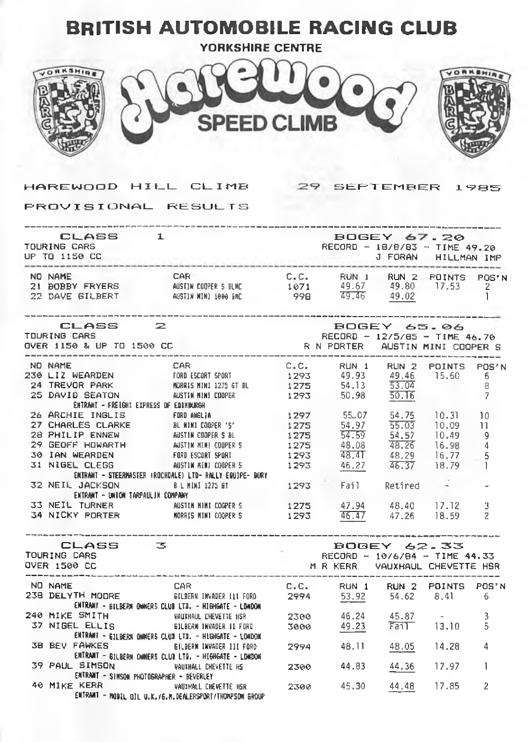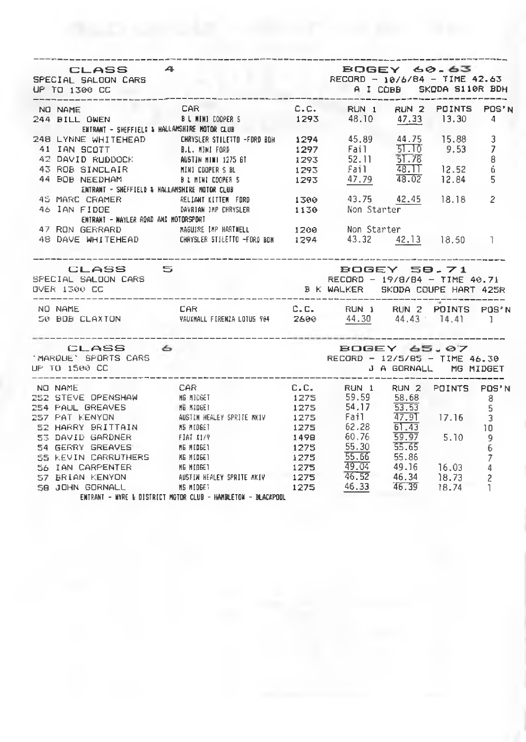| CLASS 4<br>SPECIAL SALOON CARS                 | RECORD - 10/6/84 - TIME 42.63                                                                                                                                                                                                              | <b>BOGEY 60.63</b>                                                               |                    |   |
|------------------------------------------------|--------------------------------------------------------------------------------------------------------------------------------------------------------------------------------------------------------------------------------------------|----------------------------------------------------------------------------------|--------------------|---|
|                                                | NO NAME<br>244 BILL OWEN 8 LIMIN DOPER S 1293 48.10 47.33 13.30 4                                                                                                                                                                          | C.C. RUN 1 RUN 2 POINTS POS'N                                                    |                    |   |
|                                                |                                                                                                                                                                                                                                            |                                                                                  |                    |   |
|                                                | ENTRANT - SHEFFIELD & HALLAMSHIRE MOTOR CLUB                                                                                                                                                                                               |                                                                                  |                    |   |
|                                                | ERINNEL SHEPTICLE & HINGHASTING NATURE AND MALLETTE FORD BOH 1294 45.89 44.75 15.88<br>248 LYNNE WHITEHEAD CHRYSLER STILETTE FORD BOH 1297 Fail 51.10 9.53                                                                                 |                                                                                  |                    | 3 |
|                                                |                                                                                                                                                                                                                                            |                                                                                  |                    | 7 |
|                                                |                                                                                                                                                                                                                                            |                                                                                  |                    | 8 |
|                                                |                                                                                                                                                                                                                                            |                                                                                  |                    | ó |
|                                                | 248 LYNNE WHITEHEAD CHRYSLER SILLEND (CHRYSLER SILLEND 1297 Fail 21.19 201.19 201.19 201.19 201.19 201.19 201<br>41 IAN SCOTT 8.L. MINI FORD 1293 52.11 51.78<br>43 ROB SINCLAIR MINI COOPER S 81 1293 Fail 48.11 12.52<br>8 LINI CO       |                                                                                  |                    | 5 |
|                                                | 45 MARC CRAMER<br>46 JAN FIDOE <b>BELIANT KITTEN FORD</b> 1300 43.75 42.45 18.18                                                                                                                                                           |                                                                                  |                    | 2 |
|                                                |                                                                                                                                                                                                                                            |                                                                                  |                    |   |
| ENTRANT - NAYLER ROAD AND MOTORSPORT           |                                                                                                                                                                                                                                            |                                                                                  |                    |   |
|                                                | 47 RON GERRARD MAGUIRE IMP HARTNELL 1200 Non Starter                                                                                                                                                                                       |                                                                                  |                    |   |
|                                                | 48 DAVE WHITEHEAD CHRYSLER STILETTO FORD BDN 1294 43.32 42.13 18.50 1                                                                                                                                                                      |                                                                                  |                    |   |
| CLASS 5<br>SPECIAL SALOON CARS<br>OVER 1300 CC |                                                                                                                                                                                                                                            | BOGEY 50.71<br>RECORD - 19/8/84 - TIME 40.71<br>B K WALKER SKODA COUPE HART 425R |                    |   |
| NO NAME                                        | CAR C.C. RUN 1 RUN 2 POINTS POS'N<br>50 BDB CLAXTON WAUXIMALL FIREMZA LOTUS 964 2600 44.30 44.43 14.41 1                                                                                                                                   |                                                                                  |                    |   |
| CLASS 6                                        |                                                                                                                                                                                                                                            |                                                                                  | ------------------ |   |
| 'MARQUE' SPORTS CARS<br>UP TO 1500 CC .        | BOGEY 65.07<br>RECORD - 12/5/85 - TIME 46.30                                                                                                                                                                                               | J A GORNALL MG MIDGET                                                            |                    |   |
|                                                | 101 NO NAME<br>252 STEVE OPENSHAN MS RIDGET<br>252 STEVE OPENSHAN MS RIDGET<br>254 PAUL GREAVES MS RIDGET<br>257 PAT KENYON AUSTIN HEALEY SPRITE MXIV 1275 Fail 47.9T<br>257 PAT KENYON AUSTIN HEALEY SPRITE MXIV 1275 Fail 47.9T<br>257 P |                                                                                  |                    |   |
|                                                |                                                                                                                                                                                                                                            |                                                                                  |                    |   |
|                                                |                                                                                                                                                                                                                                            |                                                                                  |                    |   |
|                                                |                                                                                                                                                                                                                                            |                                                                                  |                    |   |
|                                                |                                                                                                                                                                                                                                            |                                                                                  |                    |   |
|                                                |                                                                                                                                                                                                                                            |                                                                                  |                    |   |
|                                                |                                                                                                                                                                                                                                            |                                                                                  |                    |   |
|                                                |                                                                                                                                                                                                                                            |                                                                                  |                    |   |
|                                                |                                                                                                                                                                                                                                            |                                                                                  |                    |   |
|                                                | 1275 55.66 55.86 7<br>56 IAN CARPENTER MENTIBER 1275 49.04 49.16 16.03 4<br>57 BRIAN KENYON AUSTRIC SPRITE MKIY 1275 46.34 18.73 2<br>58 JOHN GORNALL MS MIDGET ANN FORE 1275 46.33 46.34 18.73 2<br>58 JOHN GORNALL MS MIDGET ANN FOR     |                                                                                  |                    |   |
|                                                |                                                                                                                                                                                                                                            |                                                                                  |                    |   |
|                                                |                                                                                                                                                                                                                                            |                                                                                  |                    |   |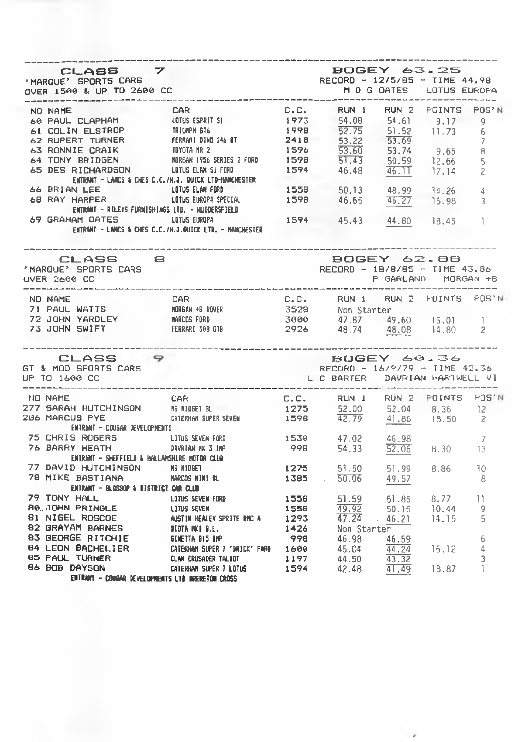| CLASS 7<br>'MARQUE' SPORTS CARS<br>OVER 1500 & UP TO 2600 CC                                                                                                                                                                                                                               |                |      | <b>BOGEY 63.25</b><br>RECORD - 12/5/85 - TIME 44.98                                     |                    |      |    |
|--------------------------------------------------------------------------------------------------------------------------------------------------------------------------------------------------------------------------------------------------------------------------------------------|----------------|------|-----------------------------------------------------------------------------------------|--------------------|------|----|
| NO NAME<br>NO NAME CAPHAM LOTES SPRIT SI UNITS POSSES SANTA LOTES SPRIT IN THE SPRIT TURNER PERRARI DINO 246 ET 2418 52.72 53.22 53.69 11.73 6<br>62 RUPERT TURNER FERRARI DINO 246 ET 2418 52.72 53.22 53.69 11.73 6<br>63 RONNIE CRAIK TOYO                                              | <b>CAR</b>     | C.C. | RUN 1 RUN 2 POINTS POS'N                                                                |                    |      |    |
|                                                                                                                                                                                                                                                                                            |                |      |                                                                                         |                    |      |    |
|                                                                                                                                                                                                                                                                                            |                |      |                                                                                         |                    |      |    |
|                                                                                                                                                                                                                                                                                            |                |      |                                                                                         |                    |      |    |
|                                                                                                                                                                                                                                                                                            |                |      |                                                                                         |                    |      |    |
|                                                                                                                                                                                                                                                                                            |                |      |                                                                                         |                    |      |    |
|                                                                                                                                                                                                                                                                                            |                |      |                                                                                         |                    |      |    |
|                                                                                                                                                                                                                                                                                            |                |      |                                                                                         |                    |      |    |
|                                                                                                                                                                                                                                                                                            |                |      |                                                                                         |                    |      |    |
|                                                                                                                                                                                                                                                                                            |                |      |                                                                                         |                    |      |    |
|                                                                                                                                                                                                                                                                                            |                |      |                                                                                         |                    |      |    |
|                                                                                                                                                                                                                                                                                            |                |      |                                                                                         |                    |      |    |
| ENTRANT - LANCS & CHES C.C./H.J.QUICK LTD. - MANCHESTER                                                                                                                                                                                                                                    |                |      |                                                                                         |                    |      |    |
| CLASS 8                                                                                                                                                                                                                                                                                    |                |      |                                                                                         | <b>BOGEY 62.88</b> |      |    |
| 'MARQUE' SPORTS CARS<br>OVER 2600 CC                                                                                                                                                                                                                                                       |                |      | RECORD - 18/8/85 - TIME 43.86<br>P GARLAND MORGAN +8                                    |                    |      |    |
|                                                                                                                                                                                                                                                                                            |                |      |                                                                                         |                    |      |    |
|                                                                                                                                                                                                                                                                                            |                |      |                                                                                         |                    |      |    |
|                                                                                                                                                                                                                                                                                            |                |      |                                                                                         |                    |      |    |
|                                                                                                                                                                                                                                                                                            |                |      |                                                                                         |                    |      |    |
| CLASS 9<br>GT & MOD SPORTS CARS<br>UP TO 1600 CC                                                                                                                                                                                                                                           |                |      | <b>BOGEY 60.36</b><br>RECORD - $16/9/79$ - TIME 42.36<br>L C BARTER DAVRIAN HARTWELL VI |                    |      |    |
|                                                                                                                                                                                                                                                                                            |                |      |                                                                                         |                    |      |    |
| THE MAME<br>277 SARAH HUTCHINSON ME MIDEET BLACK ME AND 1275 52.00 52.04 8.36 12<br>296 MARCUS PYE CATERIAM SUPER SEVEN 1598 42.79 41.86 18.50 2                                                                                                                                           |                |      |                                                                                         |                    |      |    |
|                                                                                                                                                                                                                                                                                            |                |      |                                                                                         |                    |      |    |
|                                                                                                                                                                                                                                                                                            |                |      |                                                                                         |                    |      |    |
| entrant - Cougar Developments                                                                                                                                                                                                                                                              |                |      |                                                                                         |                    |      |    |
|                                                                                                                                                                                                                                                                                            |                |      |                                                                                         |                    |      |    |
| 75 CHRIS ROGERS LOTUS SEVEN FORD 1530 47.02 46.98 7<br>76 BARRY HEATH _____ DAVRIAN NX 3 INP 998 54.33 52.06 8.30 13                                                                                                                                                                       |                |      |                                                                                         |                    |      |    |
| ENTRANT - SHEFFIELD & HALLAMSHIRE MOTOR CLUB                                                                                                                                                                                                                                               |                |      |                                                                                         |                    |      |    |
| 77 DAVID HUTCHINSON ME MIDRET                                                                                                                                                                                                                                                              |                |      |                                                                                         |                    | 8.86 | 10 |
| 78 MIKE BASTIANA                                                                                                                                                                                                                                                                           | NARCOS HINI BL |      | $1275$ $51.50$ $51.99$<br>$1385$ $50.06$ $49.57$                                        |                    |      | 8  |
| ENTRANT – BLOSSOP & DISTRICT CAR CLUB                                                                                                                                                                                                                                                      |                |      |                                                                                         |                    |      |    |
|                                                                                                                                                                                                                                                                                            |                |      |                                                                                         |                    |      |    |
|                                                                                                                                                                                                                                                                                            |                |      |                                                                                         |                    |      |    |
|                                                                                                                                                                                                                                                                                            |                |      |                                                                                         |                    |      |    |
|                                                                                                                                                                                                                                                                                            |                |      |                                                                                         |                    |      |    |
|                                                                                                                                                                                                                                                                                            |                |      |                                                                                         |                    |      |    |
|                                                                                                                                                                                                                                                                                            |                |      |                                                                                         |                    |      |    |
|                                                                                                                                                                                                                                                                                            |                |      |                                                                                         |                    |      |    |
| 79 TONY HALL LED LOTEN ENCLOPED TO MELTIMIT A LOTEN SEVEN TO A 1293 49.92 50.15 10.44 9<br>1558 49.92 50.15 10.44 9<br>1558 49.92 50.15 10.44 9<br>1558 49.92 50.15 10.44 9<br>16 NIGEL ROSCOE METIN HEALEY SPRITE PRO 1293 47.24 46.<br>ENTRANT - CONGAR DEVELOPMENTS LTD INGERETOR CROSS |                |      |                                                                                         |                    |      |    |
|                                                                                                                                                                                                                                                                                            |                |      |                                                                                         |                    |      |    |

 $\overline{\phantom{a}}$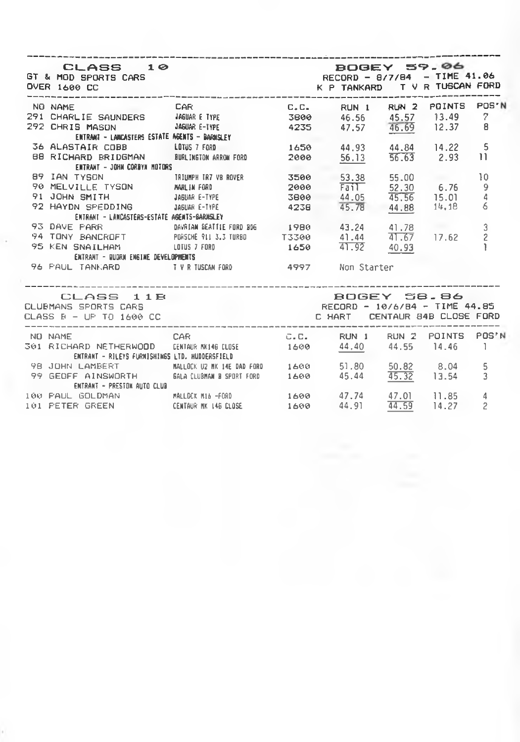| CLASS 10<br>GT & MOD SPORTS CARS<br>OVER 1600 CC                                                             | BOGEY 59.06<br>RECORD - 8/7/84 - TIME 41.06   | K P TANKARD T V R TUSCAN FORD                       |                               |             |             |                                            |
|--------------------------------------------------------------------------------------------------------------|-----------------------------------------------|-----------------------------------------------------|-------------------------------|-------------|-------------|--------------------------------------------|
| NO NAME CAR C.C.                                                                                             |                                               |                                                     |                               | RUN 1 RUN 2 | POINTS      | POS'N                                      |
| 291 CHARLIE SAUNDERS : JA6UAR E TYPE : 3800 : 46.56 : 45.57 13.49 : 7                                        |                                               |                                                     |                               |             |             |                                            |
| 292 CHRIS MASON 346UAR E-TYPE 4235 47.57 46.69 12.37                                                         |                                               |                                                     |                               |             |             | 8                                          |
|                                                                                                              | ENTRANT - LANCASTERS ESTATE AGENTS - BARNSLEY |                                                     |                               |             |             |                                            |
| 36 ALASTAIR COBB LOTUS 7 FORD                                                                                |                                               | 1650 44.93 44.84 14.22                              |                               |             |             | 5                                          |
| BB RICHARD BRIDGMAN BURLINGTON ARROW FORD 2000 56.13 56.63 2.93                                              |                                               |                                                     |                               |             |             | $\overline{11}$                            |
| ENTRANT - JOHN CORBYN MOTORS                                                                                 |                                               |                                                     |                               |             |             |                                            |
|                                                                                                              |                                               |                                                     |                               |             | 55.00       | 10                                         |
|                                                                                                              |                                               | 2000 Fail 52.30 6.76                                |                               |             |             |                                            |
| 91 JOHN SMITH (1999) AGUAR E-TYPE (1999) 44.05<br>92 HAYDN SPEDDING (1998) JAGUAR E-TYPE (1998) 4238 (195.78 |                                               |                                                     |                               |             | 45.56 15.01 | $\begin{array}{c} 9 \\ 4 \end{array}$      |
|                                                                                                              |                                               |                                                     |                               |             | 44.88 14.18 | 6                                          |
| ENTRANT - LANCASTERS-ESTATE AGENTS-BARNSLEY                                                                  |                                               |                                                     |                               |             |             |                                            |
| 93 DAVE PARR 60 DAVRIAN BEATTLE FORD BDG 1980 43.24 41.78                                                    |                                               |                                                     |                               |             |             |                                            |
| 94 TONY BANCROFT PORSCHE PLIS.3 TURBO T3300 41.44 41.67 17.62                                                |                                               |                                                     |                               |             |             | $\begin{array}{c} 3 \\ 2 \\ 1 \end{array}$ |
| 95 KEN SNAILHAM LOTUS 7 FORD 1650 41.92 40.93                                                                |                                               |                                                     |                               |             |             |                                            |
| ENTRANT - QUORN ENGINE DEVELOPMENTS                                                                          |                                               |                                                     |                               |             |             |                                            |
| 96 PAUL TANKARD TVR TUSCAN FORD 4997 Non Starter                                                             |                                               |                                                     |                               |             |             |                                            |
| CLASS 11B<br>CLUBMANS SPORTS CARS<br>CLASS B - UP TO 1600 CC                                                 |                                               | ROGEY 58.86<br><b>C HART CENTAUR 84B CLOSE FORD</b> | RECORD - 10/6/84 - TIME 44.85 |             |             |                                            |

 $\cdot$ 

 $\ddot{\phantom{0}}$ 

| NO NAME                                        | CAR.                       | C.C. | RUN 1 | RUN 2 | POINTS | POS'N |
|------------------------------------------------|----------------------------|------|-------|-------|--------|-------|
| 301 RICHARD NETHERWOOD                         | CENTAUR MK146 CLOSE        | 1600 | 44,40 | 44.55 | 14.46  |       |
| ENTRANT - RILEYS FURNISHINGS LTD. HUDDERSFIELD |                            |      |       |       |        |       |
| 98 JOHN LAMBERT                                | MALLOCK U2 MK 14E DAD FORD | 1600 | 51.80 | 50.82 | 8.04   | 5     |
| 99 GEOFF AINSWORTH                             | GALA CLUBMAN B SPORT FORD  | 1600 | 45.44 | 45.32 | 13.54  | 3.    |
| ENTRANT - PRESTON AUTO CLUB                    |                            |      |       |       |        |       |
| 100 PAUL GOLDMAN                               | MALLOCK M16 -FORD          | 1600 | 47.74 | 47.01 | 11.85  | 4     |
| 101 FETER GREEN                                | CENTAUR MK 146 CLOSE       | 1600 | 44.91 | 44.59 | 14.27  | 2     |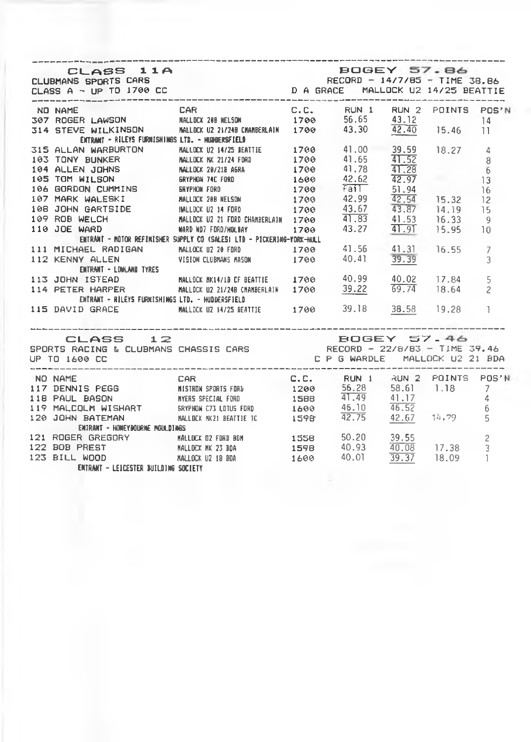| ENTRANT - RILEYS FURNISHINGS LTD. - HUDBERSFIELD                                                                                                                                                                                         |                               |                                |       |       |                |
|------------------------------------------------------------------------------------------------------------------------------------------------------------------------------------------------------------------------------------------|-------------------------------|--------------------------------|-------|-------|----------------|
| 315 ALLAN JOHNS MALLOCK 28 NESSN.<br>193 TONY BUNKER MALLOCK 28 NESSN.<br>194 ALLEN JOHNS MALLOCK 28 NESSN.<br>195 TOM WILSON GRYPHON 74C FORD 1790 41.78 41.28 6<br>195 TOM WILSON GRYPHON 74C FORD 1600 42.62 42.97 13<br>196 GORDON C |                               |                                |       |       |                |
|                                                                                                                                                                                                                                          |                               |                                |       |       |                |
|                                                                                                                                                                                                                                          |                               |                                |       |       |                |
|                                                                                                                                                                                                                                          |                               |                                |       |       |                |
|                                                                                                                                                                                                                                          |                               |                                |       |       |                |
|                                                                                                                                                                                                                                          |                               |                                |       |       |                |
|                                                                                                                                                                                                                                          |                               |                                |       |       | 15             |
|                                                                                                                                                                                                                                          |                               |                                |       |       | - 9            |
| 198 JOHN GARTSIDE MALLOCK U2 14 FORD 1700 43.67 43.87 14.19<br>199 ROB WELCH MALLOCK U2 21 FORD 1700 41.83 41.53 16.33<br>110 JOE WARD MARD MARD MARD 1700 43.27 41.91 15.95                                                             |                               |                                |       |       | ា ០            |
|                                                                                                                                                                                                                                          |                               |                                |       |       |                |
|                                                                                                                                                                                                                                          |                               |                                |       |       |                |
| ENTRANT - NOTOR REFINISHER SUPPLY CO (SALES) LTD - PICKERING-YORK-HULL<br>111 MICHAEL RADIGAN MALLOCK UZ 28 FORD 1700 41.56 41.31 16.55 7<br>112 KENNY ALLEN VISION CLUBNANS MASON 1700 40.41 39.39 3<br>ENTRANT - LONLAND TYRES         |                               |                                |       |       |                |
|                                                                                                                                                                                                                                          |                               |                                |       |       | 5              |
| 113 JOHN ISTEAD MALLOCK MKI4/LB CF BEATTLE 1700 40.99 40.02 17.84<br>114 PETER HARPER MALLOCK UZ 21/248 CMANBERLAIN 1700 39.22 69.74 18.64                                                                                               |                               |                                |       |       | $\mathfrak{p}$ |
| ENTRANT - RILEYS FURKISHINGS LTD. - HUDDERSFIELD                                                                                                                                                                                         |                               |                                |       |       |                |
| 115 DAVID GRACE MALLOCK U2 MA/25 BEATTIE 1700 39.18 38.58 19.28 1                                                                                                                                                                        |                               |                                |       |       |                |
|                                                                                                                                                                                                                                          |                               |                                |       |       |                |
| CLASS 12                                                                                                                                                                                                                                 |                               | BOGEY 57.46                    |       |       |                |
| CLASS 12<br>SPORTS RACING & CLUBMANS CHASSIS CARS ARE RECORD - 22/8/83 - TIME 39.46                                                                                                                                                      |                               |                                |       |       |                |
| UP TO 1600 CC                                                                                                                                                                                                                            |                               | C P G WARDLE MALLOCK U2 21 BDA |       |       |                |
|                                                                                                                                                                                                                                          |                               |                                |       |       |                |
| <b>CAR CAR</b><br>NO NAME                                                                                                                                                                                                                | C.C. RUN 1 RUN 2 POINTS POS'N |                                |       |       |                |
| 117 DENNIS PEGG<br>118 PAUL BASON MYERS SPECIAL FORD 1200 56.28 58.61 1.18 7<br>119 MALCOLM WISHART BRYPHON C73 LOTUS FORD 1588 41.49 41.17 4<br>120 JOHN BATEMAN MALLOCK MX21 BEATTIE IC 1598 42.75 42.67 14.79 5                       |                               |                                |       |       |                |
|                                                                                                                                                                                                                                          |                               |                                |       |       |                |
|                                                                                                                                                                                                                                          |                               |                                |       |       |                |
|                                                                                                                                                                                                                                          |                               |                                |       |       |                |
| ENTRANT - HOMEYBOURNE MOULDINGS                                                                                                                                                                                                          |                               |                                |       |       |                |
| 121 ROGER GREGORY MALLOCK 02 FORD BDM 1558 50.20 39.55 2<br>122 BOB PREST MALLOCK MK 23 BDA 1598 40.93 40.08 17.38 3                                                                                                                     |                               |                                |       |       |                |
|                                                                                                                                                                                                                                          |                               |                                |       |       |                |
| 123 BILL WOOD MALLOCK U2 18 BDA 1600                                                                                                                                                                                                     |                               | 40.01                          | 39.37 | 18.09 | $\overline{1}$ |
| ENTRANT - LEICESTER INILDING SOCIETY                                                                                                                                                                                                     |                               |                                |       |       |                |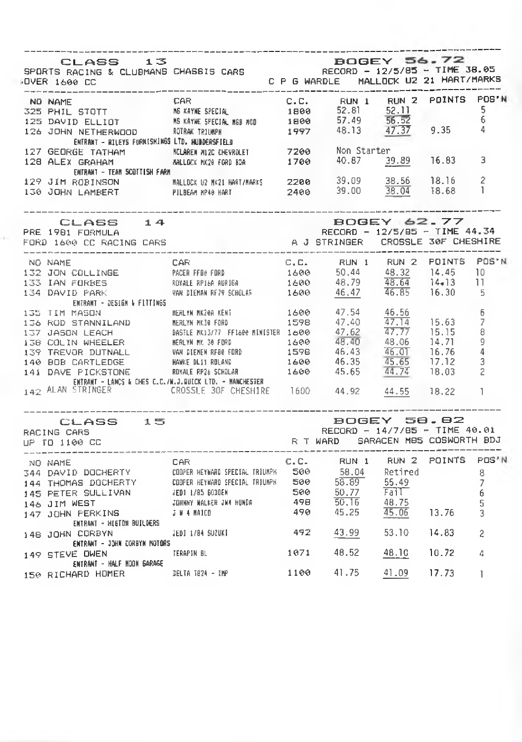| CLASS 13<br>SPORTS RACING & CLUBMANS CHASSIS CARS<br>OVER 1600 CC CLUBMANS CHASSIS CARS CP 6 WARDLE MALLOCK U2 21 HART/MARKS<br><b>OVER 1600 CC</b>                                                                                                                                                          | --------------------------------                                                  | -----------                                                 |       |                |
|--------------------------------------------------------------------------------------------------------------------------------------------------------------------------------------------------------------------------------------------------------------------------------------------------------------|-----------------------------------------------------------------------------------|-------------------------------------------------------------|-------|----------------|
| NO NAME<br>NO NAME<br>SZE PHIL STOTT MEXAYNE SPECIAL C.C. RUN 1 RUN 2 POINTS POS'N<br>SZE PHIL STOTT MEXAYNE SPECIAL MED 480 52.81 52.11 5<br>125 DAVID ELLIOT MEXAYNE SPECIAL MED 480 57.49 56.52 6<br>126 JOHN NETHERMOOD ROTRACTRIUMP                                                                     |                                                                                   |                                                             |       |                |
|                                                                                                                                                                                                                                                                                                              |                                                                                   |                                                             |       |                |
| ENTRANT - RILEYS FURNISHINGS LTD. HUDDERSFIELD<br>127 GEORGE TATHAM MINISHINGS UNIVERSITEN 7200 Non Stanter<br>128 ALEX GRAHAM MALLDEX NX20 FORD BDA 1700 40.87 <u>39.89</u> 16.83 3<br>ENTRANT - TEAM SCOTTISH FARM                                                                                         |                                                                                   |                                                             |       |                |
| 129 JIM ROBINSON MALLICK 92 NK21 HART/NARKS 2200 39.09 38.56 18.16 2<br>130 JOHN LAMBERT PILBEAM NP40 HART 2400 39.00 38.04 18.68 1                                                                                                                                                                          |                                                                                   |                                                             |       |                |
| CLASS 14<br>PRE 1981 FORMULA<br>FORD 1600 CC RACING CARS                                                                                                                                                                                                                                                     | EUGEY 62.77<br>RECORD - 12/5/85 - TIME 44.34<br>A J STRINGER CROSSLE 30F CHESHIRE | <b>BOGEY 62.77</b>                                          |       |                |
| NO NAME<br>132 JON COLLINGE PACER FEB FORD 1600 50,44 48.32 14.45 10<br>133 JAN FORBES ROYALE RP16A AURISA 1600 48.79 48.64 14-13 11<br>134 DAVID PARK WARDIERAR RP16A URISA 1600 46.47 46.85 16.30 5                                                                                                        |                                                                                   |                                                             |       |                |
|                                                                                                                                                                                                                                                                                                              |                                                                                   |                                                             |       |                |
|                                                                                                                                                                                                                                                                                                              |                                                                                   |                                                             |       |                |
| ENERANT - DESIGN & FITTINGS                                                                                                                                                                                                                                                                                  |                                                                                   |                                                             |       |                |
|                                                                                                                                                                                                                                                                                                              |                                                                                   |                                                             |       |                |
|                                                                                                                                                                                                                                                                                                              |                                                                                   |                                                             |       |                |
|                                                                                                                                                                                                                                                                                                              |                                                                                   |                                                             |       |                |
|                                                                                                                                                                                                                                                                                                              |                                                                                   |                                                             |       |                |
|                                                                                                                                                                                                                                                                                                              |                                                                                   |                                                             |       |                |
|                                                                                                                                                                                                                                                                                                              |                                                                                   |                                                             |       |                |
|                                                                                                                                                                                                                                                                                                              |                                                                                   |                                                             |       |                |
| 135 TIM MASS CHEMINING MEALYN NK240 KENT<br>135 TIM MASS CHEMINING MEALYN NK240 KENT<br>136 ROD STANNILAND NEALYN NK30 FORD 1598 47.62 47.77 15.15 8<br>139 COLIN WHEELER NEALYN NK 30 FORD 1400 47.62 47.77 15.15 8<br>139 TOLIN WHEELER<br>142 ALAN STRINGER CROSSLE 30F CHESHIRE 1600 44.92 44.55 18.22 1 |                                                                                   |                                                             |       |                |
| CLASS 15                                                                                                                                                                                                                                                                                                     |                                                                                   | BOGEY 58.82<br>SUDEY OU.BZ<br>RECORD - 14/7/85 - TIME 40.01 |       |                |
| RACING CARS<br>UP TO 1100 CC                                                                                                                                                                                                                                                                                 |                                                                                   | R T WARD SARACEN MES COSWORTH BDJ                           |       |                |
| _________________<br>NO NAME<br>144 THOMAS DOCHERTY<br>144 THOMAS DOCHERTY<br>145 PETER SULLIVAN (COPER HEYWARD SPECIAL TRIUMPX 500 58.04 Retired 8<br>145 PETER SULLIVAN (EDI 1/85 6000EN<br>145 PETER SULLIVAN (EDI 1/85 6000EN<br>146 JIM WEST JOHNY MALKER                                               |                                                                                   | C.C. RUN 1 RUN 2 POINTS POS'N                               |       |                |
|                                                                                                                                                                                                                                                                                                              |                                                                                   |                                                             |       |                |
|                                                                                                                                                                                                                                                                                                              |                                                                                   |                                                             |       |                |
|                                                                                                                                                                                                                                                                                                              |                                                                                   |                                                             |       |                |
|                                                                                                                                                                                                                                                                                                              |                                                                                   |                                                             |       |                |
|                                                                                                                                                                                                                                                                                                              |                                                                                   |                                                             |       |                |
| ENTRANT - HIGTON BUILDERS<br>148 JOHN CORBYN<br>ENTRANT - JOHN CORBYN NOTORS                                                                                                                                                                                                                                 | JEDI 1/84 SUZUKI 492 43.99 53.10 14.83                                            |                                                             |       | $\overline{c}$ |
| 149 STEVE OWEN<br>ENTRANT - HALF MOON GARAGE                                                                                                                                                                                                                                                                 | TERAPIN BL <b>1071</b> 48.52 48.10 10.72                                          |                                                             |       | 4              |
| 150 RICHARD HOMER DELTA 1824 - IMP                                                                                                                                                                                                                                                                           |                                                                                   | 1100 41.75 41.09                                            | 17.73 | 1              |

ò.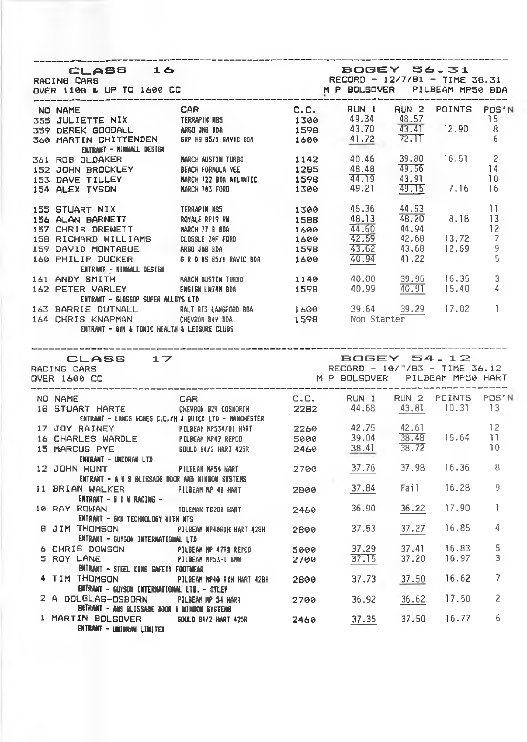| ________                                                                                                                                                                                                                                  |                                                                                  |              |                                                                                         |       |                                |                |
|-------------------------------------------------------------------------------------------------------------------------------------------------------------------------------------------------------------------------------------------|----------------------------------------------------------------------------------|--------------|-----------------------------------------------------------------------------------------|-------|--------------------------------|----------------|
| CLASS 16<br>OVER 1100 & UP TO 1600 CC                                                                                                                                                                                                     |                                                                                  |              | BOGEY 56.31<br>RECORD - 12/7/81 - TIME 38.31                                            |       |                                |                |
|                                                                                                                                                                                                                                           |                                                                                  |              |                                                                                         |       |                                |                |
|                                                                                                                                                                                                                                           |                                                                                  |              |                                                                                         |       |                                |                |
|                                                                                                                                                                                                                                           |                                                                                  |              |                                                                                         |       |                                |                |
|                                                                                                                                                                                                                                           |                                                                                  |              |                                                                                         |       |                                |                |
| ENTRANT - NIMMAL DESIGN<br>OL DAMATR                                                                                                                                                                                                      |                                                                                  |              |                                                                                         |       |                                |                |
|                                                                                                                                                                                                                                           |                                                                                  |              |                                                                                         |       |                                | $\overline{c}$ |
|                                                                                                                                                                                                                                           |                                                                                  |              |                                                                                         |       |                                | -14            |
|                                                                                                                                                                                                                                           |                                                                                  |              |                                                                                         |       |                                | 10             |
| 361 ROB OLDAKER<br>152 JOHN BROCKLEY BEACH FORNUA VEE 1295 48.48 49.56<br>153 DAVE TILLEY MARCH 722 BOA ATLANTIC 1598 44.19 43.91<br>154 ALEX TYSON MARCH 783 FORD 1300 49.21 $\frac{49.15}{49.15}$ 7.16                                  |                                                                                  |              |                                                                                         |       |                                | -16            |
| 155 STUART NIX<br>156 ALAN BARNETT ROYALE RP19 VM 158<br>157 CHRIS DREWETT MARCH 77 IBOA 1699<br>158 RICHARD WILLIAMS CLOSSLE OF FORD 1699<br>159 DAVID MONTAGUE ARSO JMS DA 1598<br>169 PHILIP DUCKER & R D HS 85/IRAVID BDA 1598<br>169 |                                                                                  |              | $45.36$ $44.53$<br>$48.13$ $48.20$ 8.18                                                 |       |                                | 11             |
|                                                                                                                                                                                                                                           |                                                                                  |              | $\frac{48.13}{44.60}$                                                                   |       |                                | - 13           |
|                                                                                                                                                                                                                                           |                                                                                  |              |                                                                                         | 44.94 |                                | 12             |
|                                                                                                                                                                                                                                           |                                                                                  |              |                                                                                         |       |                                | $\overline{7}$ |
|                                                                                                                                                                                                                                           |                                                                                  |              |                                                                                         |       |                                | 9              |
|                                                                                                                                                                                                                                           |                                                                                  |              |                                                                                         |       |                                | 5              |
| ENTRANT - NIMMALL BESIGN                                                                                                                                                                                                                  |                                                                                  |              | $\frac{44.60}{42.59}$ $\frac{42.68}{43.62}$ $\frac{13.72}{40.94}$ $\frac{43.62}{41.22}$ |       |                                |                |
| 161 ANDY SMITH MARCH NISTIN TURBO                                                                                                                                                                                                         |                                                                                  | 1140<br>1598 |                                                                                         |       |                                | 3              |
| 162 PETER VARLEY ENSIGN LW74N BDA                                                                                                                                                                                                         |                                                                                  |              | 40.00 39.96 16.35<br>40.99 40.91 15.40                                                  |       |                                | 4              |
| ENTRAKT - GLOSSOP SUPER ALLOYS LTD                                                                                                                                                                                                        |                                                                                  |              |                                                                                         |       |                                |                |
| 163 BARRIE DUTNALL RALTRIS LANGFORD BDA 1600 39.64 39.29 17.02<br>164 CHRIS KNAPMAN CHEVRON B47 BDA 1598 Non Starter                                                                                                                      |                                                                                  |              |                                                                                         |       |                                | -1             |
|                                                                                                                                                                                                                                           |                                                                                  |              |                                                                                         |       |                                |                |
|                                                                                                                                                                                                                                           |                                                                                  |              |                                                                                         |       |                                |                |
| CLASS 17<br>RACING CARS<br>OVER 1600 CC                                                                                                                                                                                                   |                                                                                  |              | <b>BOGEY 54.12</b><br>RECORD - 10/7/83 - TIME 36.12                                     |       |                                |                |
|                                                                                                                                                                                                                                           |                                                                                  |              | M P BOLSQVER PILBEAM MP50 HART                                                          |       |                                |                |
| NO NAME                                                                                                                                                                                                                                   |                                                                                  |              |                                                                                         |       |                                |                |
| NO NAME<br>16 STUART HARTE CKEVROW B29 COSWORTH 22B2 44.68 43.81 10.31 13                                                                                                                                                                 |                                                                                  |              |                                                                                         |       |                                |                |
| ENTRANT - LANCS ICHES C.C./H J QUICK LTD - MANCHESTER                                                                                                                                                                                     |                                                                                  |              |                                                                                         |       |                                |                |
|                                                                                                                                                                                                                                           |                                                                                  |              |                                                                                         |       |                                |                |
|                                                                                                                                                                                                                                           |                                                                                  |              |                                                                                         |       |                                |                |
| 17 JOY RAINEY PILBEAM NP53491 HART 2260<br>16 CHARLES WARDLE PILBEAM NP47 REPCO 5000                                                                                                                                                      |                                                                                  |              |                                                                                         |       |                                |                |
| 15 MARCUS PYE                                                                                                                                                                                                                             | 60ULD B4/2 HART 425R 2460                                                        |              | 42.75 42.61 12<br>39.04 <u>38.48</u> 15.64 11<br>38.41 38.72 10<br>38.41                |       |                                |                |
| ENTRANT - UNIDRAN LTD                                                                                                                                                                                                                     |                                                                                  |              |                                                                                         |       |                                |                |
| 12 JOHN HUNT                                                                                                                                                                                                                              | PILBEAN NP54 KART 2700 37.76 37.98 16.36 8                                       |              |                                                                                         |       |                                |                |
| ENTRANT - A N S BLISSADE DOOR AND NINDON SYSTEMS                                                                                                                                                                                          |                                                                                  |              |                                                                                         |       |                                |                |
| 11 BRIAN WALKER PILBEAN NP 48 HART 2899                                                                                                                                                                                                   |                                                                                  |              | 37.84 Fail                                                                              |       | 16.28                          | 9              |
| ENTRANT – D K N RACING –                                                                                                                                                                                                                  |                                                                                  |              |                                                                                         |       |                                |                |
| 10 RAY ROWAN                                                                                                                                                                                                                              |                                                                                  |              | 36.90 36.22                                                                             |       | 17.90                          | 1              |
| ENTRANT - GKOL TECHNOLDGY NITH NTS                                                                                                                                                                                                        |                                                                                  |              |                                                                                         |       |                                |                |
| 8 JIM THOMSON                                                                                                                                                                                                                             | PILBEAN NP48RIH HART 428H 2B00 37.53                                             |              |                                                                                         | 37.27 | 16.85                          | 4              |
| ENTRANT - BUYSON INTERNATIONAL LTD                                                                                                                                                                                                        |                                                                                  |              |                                                                                         |       |                                |                |
| 6 CHRIS DOWSON PILEM NP 47RB REPCO                                                                                                                                                                                                        |                                                                                  |              | 37.29                                                                                   | 37.41 | 16.83                          | 5              |
| 5 ROY LANE                                                                                                                                                                                                                                |                                                                                  |              |                                                                                         |       | $37.15$ $37.20$ 16.97          | 3              |
| ENTRANT – STEEL KING GAFETY FOOTWEAR                                                                                                                                                                                                      | IN PILBEAM NP 47RB REPCO 5000<br>PILBEAM MP53-L BMW<br>FERL RING CAFETY EGATHEAD |              |                                                                                         |       |                                |                |
|                                                                                                                                                                                                                                           |                                                                                  |              |                                                                                         |       | 16.62                          | 7              |
| 4 TIM THOMSON<br>FINERING FINERING THE PILER OF THE SALE OF THE 2800 37.73 37.50                                                                                                                                                          |                                                                                  |              |                                                                                         |       |                                |                |
| ENTRANT – GUYSON INTERNATIONAL LTD. – OTLEY                                                                                                                                                                                               |                                                                                  |              |                                                                                         |       |                                | 2              |
| 2 A DOUGLAS-OSBORN PILBEAM MP 54 HART 2700 36.92 36.62<br>ENTRANT – ANS OLISSADE BOOR & MINDON SYSTEMS                                                                                                                                    |                                                                                  |              |                                                                                         |       | 17.50<br>$37.35$ $37.50$ 16.77 |                |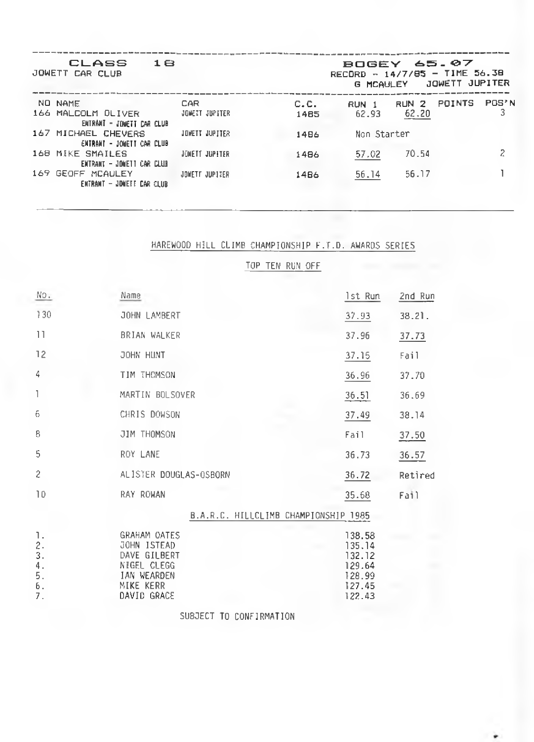| CLASS<br>JOWETT CAR CLUB                         | 1 <sub>B</sub> |      | <b>BOGEY 65.07</b><br>RECORD - $14/7/85$ - TIME 56.38<br><b>G MCAULEY</b> |       | JOWETT JUPITER |       |
|--------------------------------------------------|----------------|------|---------------------------------------------------------------------------|-------|----------------|-------|
| NO NAME                                          | CAR            | C.C. | RUN 1                                                                     | RUN 2 | POINTS         | POS'N |
| 166 MALCOLM DLIVER<br>ENTRANT - JONETT CAR CLUB  | JONETT JUPITER | 1485 | 62.93                                                                     | 62.20 |                |       |
| 167 MICHAEL CHEVERS<br>ENTRANT - JONETT CAR CLUB | JONETT JUPITER | 1486 | Non Starter                                                               |       |                |       |
| 168 MIKE SMAILES<br>ENTRANT - JONETT CAR CLUB    | JONETT JUPITER | 1486 | 57.02                                                                     | 70.54 |                |       |
| 169 GEOFF MCAULEY<br>ENTRANT - JONETT CAR CLUB   | JOWETT JUPITER | 1486 | 56.14                                                                     | 56.17 |                |       |

## HAREWOOD HILL CLIMB CHAMPIONSHIP F.T.D. AWARDS SERIES

TOP TEH RUN OFF

| No.                                    | Name                                                                                                         | 1st Run                                                            | 2nd Run |
|----------------------------------------|--------------------------------------------------------------------------------------------------------------|--------------------------------------------------------------------|---------|
| 130                                    | JOHN LAMBERT                                                                                                 | 37.93                                                              | 38.21.  |
| 11                                     | BRIAN WALKER                                                                                                 | 37.96                                                              | 37.73   |
| 12                                     | JOHN HUNT                                                                                                    | 37.15                                                              | Fail    |
| 4                                      | TIM THOMSON                                                                                                  | 36.96                                                              | 37.70   |
| $\mathbb{I}$                           | MARTIN BOLSOVER                                                                                              | 36.51                                                              | 36.69   |
| 6                                      | CHRIS DOWSON                                                                                                 | a an<br>37.49                                                      | 38.14   |
| 8                                      | JIM THOMSON                                                                                                  | Fail                                                               | 37.50   |
| 5                                      | ROY LANE                                                                                                     | 36.73                                                              | 36.57   |
| 2                                      | ALISTER DOUGLAS-OSBORN                                                                                       | 36.72                                                              | Retired |
| 10                                     | RAY ROWAN                                                                                                    | 35.68                                                              | Fail    |
|                                        | B.A.R.C. HILLCLIMB CHAMPIONSHIP 1985                                                                         |                                                                    |         |
| 1.<br>2.<br>3.<br>4.<br>5.<br>6.<br>7. | <b>GRAHAM OATES</b><br>JOHN ISTEAD<br>DAVE GILBERT<br>NIGEL CLEGG<br>IAN WEARDEN<br>MIKE KERR<br>DAVID GRACE | 138.58<br>135.14<br>132.12<br>129.64<br>128.99<br>127.45<br>122.43 |         |

SUBJECT TO CONFIRMATION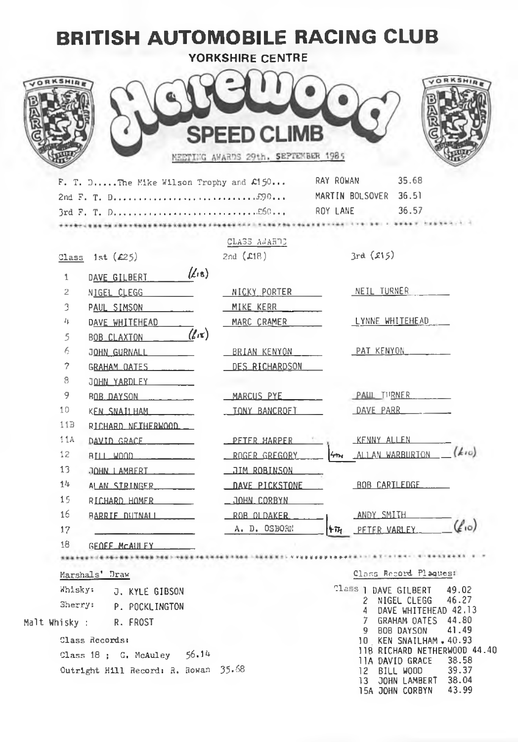| <b>BRITISH AUTOMOBILE RACING CLUB</b>         | YORKSHIRE CENTRE                                          |                                                                                                           |
|-----------------------------------------------|-----------------------------------------------------------|-----------------------------------------------------------------------------------------------------------|
|                                               | <b>SPEED CLIMB</b><br>MEETING AWARDS 29th. SEPTEMBER 1985 |                                                                                                           |
| F. T. DThe Mike Wilson Trophy and $C150$      |                                                           | 35.68<br>RAY ROWAN<br>36.57                                                                               |
|                                               | CLASS ANARDE                                              |                                                                                                           |
| Class 1st $(E25)$                             | 2nd $(L18)$                                               | 3rd(515)                                                                                                  |
| $(\mathcal{L}_{18})$<br>1                     |                                                           |                                                                                                           |
| DAVE GILBERT<br>$\overline{c}$<br>NIGEL CLEGG | NICKY PORTER                                              | NEIL TURNER                                                                                               |
| 3<br>PAUL SIMSON                              | MIKE KERR                                                 |                                                                                                           |
| 4<br>DAVE WHITEHEAD                           | MARC CRAMER                                               | LYNNE WHITEHEAD                                                                                           |
| $(\ell\pi)$<br>5<br>BOB CLAXTON               |                                                           |                                                                                                           |
| 6<br>JOHN GURNALL _____                       | BRIAN KENYON                                              | PAT KENYON                                                                                                |
| 7<br>GRAHAM OATES                             | DES RICHARDSON                                            |                                                                                                           |
| 8<br>JOHN YARDLEY                             |                                                           |                                                                                                           |
| 9<br>$BOB$ DAYSON $\ldots$                    | MARCUS PYE                                                | PAUL TURNER                                                                                               |
| 10<br>KEN SNATLHAM                            | <b>TONY BANCROFT</b>                                      | DAVE PARR                                                                                                 |
| 11B<br>RICHARD NEIHERWOOD                     |                                                           |                                                                                                           |
| 11A<br>DAVID GRACE                            | PETER HARPER                                              | KENNY ALLEN                                                                                               |
| 12.                                           | ROGER GREGORY                                             | $(k_{10})$<br>ALLAN WARBURION                                                                             |
| 13                                            | <u>__JIM_ROBINSON___</u>                                  |                                                                                                           |
| 14.<br>ALAN STRINGER                          | DAVE PICKSTONE                                            | BOB CARILEDGE                                                                                             |
| 15<br>RICHARD HOMER                           | $\_$ JOHN CORBYN                                          |                                                                                                           |
| 16<br><b>BARRIE DUINALLY</b>                  | ROB OLDAKER                                               | ANDY SMITH                                                                                                |
| 17                                            | A. D. OSBORN                                              | $(\ell_{10})$<br><b>+TH PFTFR VARLEY</b>                                                                  |
| 18<br>GEOEF MCAULEY                           |                                                           |                                                                                                           |
|                                               |                                                           |                                                                                                           |
| Marshals' Draw                                |                                                           | Class Record Plagues:                                                                                     |
| Whisky:<br>J. KYLE GIBSON                     |                                                           | Tlass   DAVE GILBERT<br>49.02                                                                             |
| Sherry:<br>P. POCKLINGTON                     |                                                           | 46.27<br>NIGEL CLEGG<br>2<br>DAVE WHITEHEAD 42.13<br>4                                                    |
| Malt Whisky :<br>R. FROST                     |                                                           | 7 GRAHAM OATES 44.80                                                                                      |
| Class Records:                                |                                                           | 41.49<br>9 BOB DAYSON<br>10 KEN SNAILHAM . 40.93                                                          |
| 56.14<br>Class 18 ; G. McAuley                |                                                           | 118 RICHARD NETHERWOOD 44.40                                                                              |
| Outright Hill Record: R. Rowan 35.68          |                                                           | 11A DAVID GRACE<br>38.58<br>12 BILL WOOD<br>39.37<br>13 JOHN LAMBERT<br>38.04<br>43.99<br>15A JOHN CORBYN |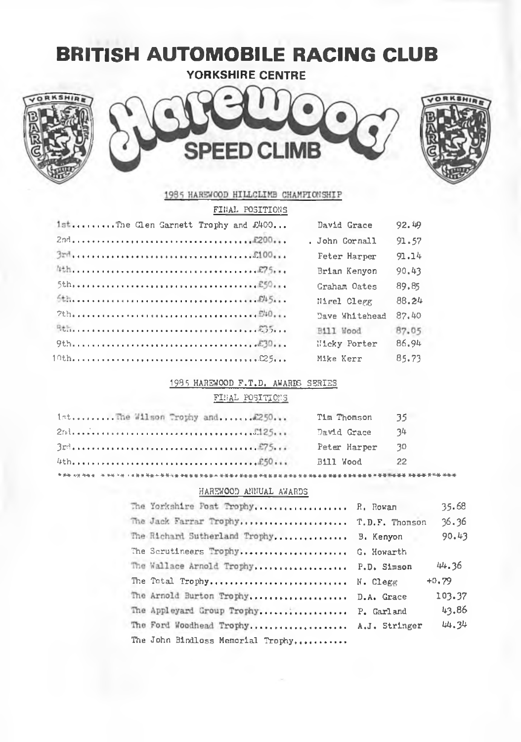# BRITISH AUTOMOBILE RACING CLUB

**YORKSHIRE CENTRE**







| FINAL POSITIONS                     |                |       |
|-------------------------------------|----------------|-------|
| 1stThe Clen Garnett Trophy and £400 | David Grace    | 92.49 |
|                                     | . John Cornall | 91,57 |
|                                     | Feter Harper   | 91.14 |
|                                     | Brian Kenvon   | 90.43 |
|                                     | Graham Oates   | 89.85 |
|                                     | Nigel Clegg    | 88.24 |
|                                     | Dave Whitehead | 87.40 |
|                                     | Bill Wood      | 87.05 |
|                                     | Hicky Porter   | 86.94 |
|                                     | Mike Kerr      | 85.73 |

#### 1985 HAREWOOD F.T.D. AWARDS SERIES

#### FINAL POSITIONS

| 1stThe Wilson Trophy and2250 | Tim Thomson  | -35. |
|------------------------------|--------------|------|
|                              | David Grace  | -34  |
|                              | Peter Harper | - 30 |
|                              | Bill Wood    | -22. |
|                              |              |      |

#### HARBWOOD ANNUAL AWARDS

| The Yorkshire Post Trophy R. Rowan      | 35.68   |
|-----------------------------------------|---------|
| The Jack Farrar Trophy T.D.F. Thomson   | 36,36   |
| The Richard Sutherland Trophy B. Kenyon | 90.43   |
| The Scrutineers Trophy G. Howarth       |         |
| The Wallace Arnold Trophy P.D. Simson   | 44.36   |
| The Total Trophy N. Clegg               | $+0.79$ |
| The Arnold Burton Trophy D.A. Grace     | 103.37  |
| The Appleyard Group Trophy P. Garland   | 43.86   |
| The Ford Woodhead Trophy A.J. Stringer  | 44.34   |
| The John Bindloss Memorial Trophy,      |         |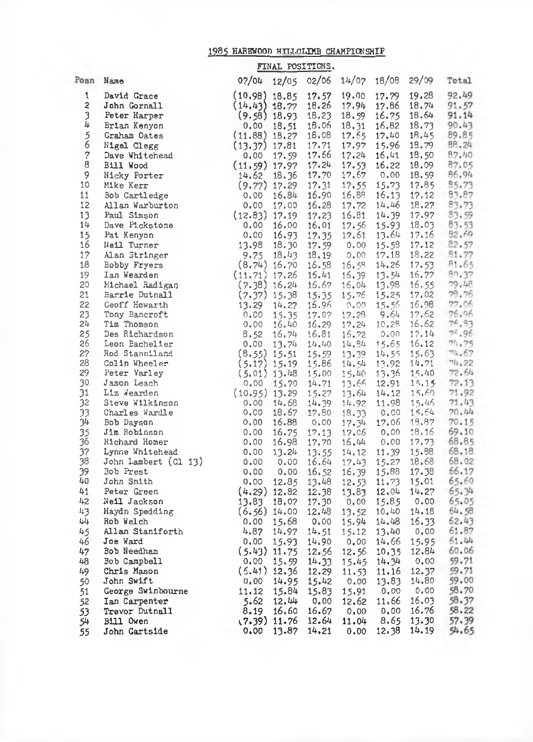## 1985 HAREWOOD HILLCLIMB CHAMPIONSHIP

|                |                                                                                                                                                                                                                                                             | FINAL POSITIONS.                  |                         |                |                |                |                |
|----------------|-------------------------------------------------------------------------------------------------------------------------------------------------------------------------------------------------------------------------------------------------------------|-----------------------------------|-------------------------|----------------|----------------|----------------|----------------|
|                | Posn Name                                                                                                                                                                                                                                                   | 07/04                             | 12/05 02/06 14/07 18/08 |                |                | 29/09          | Total          |
| $\mathbf{1}$   | David Grace                                                                                                                                                                                                                                                 | $(10.98)$ 18.85                   | 17.57                   | 19.00          | 17.79          | 19.28          | 92.49<br>v.    |
| 2              | John Gornall                                                                                                                                                                                                                                                | $(14.43)$ 18.22                   | 18.26                   | 17.94          | 17.86          | 18.74          | 91,57<br>m.    |
| 3              | Peter Harper                                                                                                                                                                                                                                                | $(9.58)$ 18.93                    | 18.23                   | 18.59          | 16.75          | 18.64          | 91.14          |
| 4              | Brian Kenyon                                                                                                                                                                                                                                                | 0.00<br>18.51                     | 16.06                   | 18.31          | 16.82          | 18.73          | 90.43          |
| $\frac{5}{6}$  | Graham Oates                                                                                                                                                                                                                                                | $(11.88)$ 18.27                   | 18.08                   | 17.65          | 17.40          | 18.45          | 89.85          |
| $\overline{a}$ | Nigel Clegg<br>Dave Whitehead                                                                                                                                                                                                                               | $(13.37)$ 17.81                   | 17.71                   | 17,97          | 15.96          | 15.79          | 88.24          |
| 8              |                                                                                                                                                                                                                                                             | $0,00$ 17.59                      | 17.66<br>17.24          | 17.24<br>17.53 | 16,41<br>16.22 | 18,50<br>18,09 | 87.40<br>87.05 |
| 9              | Bill Wood                                                                                                                                                                                                                                                   | $(11.59)$ 17.97<br>14.62<br>18.36 | 17.70                   | 17.67          | 0.00           | 18.59          | 86.94          |
| 10             | Nicky Porter<br>Mike Kerr                                                                                                                                                                                                                                   | $(9.77)$ 17.29                    | 17.31                   | 17.55          | 15.73          | 17.85          | 95.73          |
| 11             | Bob Cartledge                                                                                                                                                                                                                                               | 16.84<br>0.00                     | 16.90                   | 16,88          | 16.13          | 17,12          | 83.87          |
| 12             |                                                                                                                                                                                                                                                             |                                   |                         | 17.72          | 14,46          | 18,27          | 83.73          |
| 13             |                                                                                                                                                                                                                                                             |                                   |                         | 16.81          | 14.39          | 17.97          | 83.59          |
| 14             |                                                                                                                                                                                                                                                             |                                   |                         | 17.56          | 15.93          |                | 18.03 83.53    |
| 15             |                                                                                                                                                                                                                                                             |                                   |                         | 17.61          | 13.64          | 17.16          | 82.69          |
| 16             |                                                                                                                                                                                                                                                             |                                   |                         | 0.00           | 15.58          | 17.12          | 82.57          |
| 17             |                                                                                                                                                                                                                                                             |                                   |                         | 0.00           | 17,18          | 18.22          | 51.77          |
| 18             |                                                                                                                                                                                                                                                             |                                   |                         | 16.59          | 14,26          | 17.53          | B1.65          |
| 19             |                                                                                                                                                                                                                                                             |                                   |                         | 16.39          | 13.54          | 16.77          | 80.37          |
| 20             |                                                                                                                                                                                                                                                             |                                   |                         | 16.04          | 13.98          | 16, 55         | 79.48          |
| 21             |                                                                                                                                                                                                                                                             |                                   |                         | 15.76          | 15.25          | 17.02          | 78.76          |
| 22             |                                                                                                                                                                                                                                                             |                                   |                         | 0.00           | 15.56          | 16.98          | 77.06          |
| 23             |                                                                                                                                                                                                                                                             |                                   |                         | 17.28          | 9.64           | 17,62          | 76.96          |
| 24<br>25       |                                                                                                                                                                                                                                                             |                                   |                         | 17.24          | 10.28          | 16.62<br>17.14 | 76.33<br>76.96 |
| 26             | ike $k_{ex.}$<br>ob Cartledge<br>11an Warburton<br>Aul Sinson<br>Dave Pickstone<br>Pat Kenyon<br>Pat Kenyon<br>Neil Turner<br>13.98 18.90 17.59<br>Alan Stringer<br>Bobby Fryers<br>(8.74) 16.70 16.58<br>Ian Wearden<br>Michael Radigan<br>(11.71) 17.26 1 |                                   |                         | 16.72<br>14,84 | 0.00<br>15.65  | 16.12          | 74.75          |
| 27             |                                                                                                                                                                                                                                                             |                                   |                         | 13,39          | 14.55          | 15.63          | 74.67          |
| 28             |                                                                                                                                                                                                                                                             |                                   |                         | 14.54          | 13,92          | 14.71          | 74.22          |
| 29             |                                                                                                                                                                                                                                                             |                                   |                         | - 15.40        | 13.36          | 15.40          | 72.64          |
| 30             |                                                                                                                                                                                                                                                             |                                   |                         | 13.66          | 12.91          | 15.15          | 72.13          |
| 31             |                                                                                                                                                                                                                                                             |                                   |                         | 13.64          | 14.12          | 15.60          | 71.92          |
| 32             |                                                                                                                                                                                                                                                             |                                   |                         | 14,92          | 11.98          | 15.46          | 71.43          |
| 33             |                                                                                                                                                                                                                                                             |                                   |                         | 18,33          | 0.00           | 15.64          | 70.44          |
| 34             |                                                                                                                                                                                                                                                             |                                   |                         | 17.34          | 17.06          | 19.87          | 70.15          |
| 35<br>36       |                                                                                                                                                                                                                                                             |                                   |                         | 17.06          | 0.00           |                | 18.16 69.10    |
| 37             |                                                                                                                                                                                                                                                             |                                   |                         | 16.44<br>14,12 | 0.00<br>11.39  | 17.73<br>15.88 | 68.85<br>68.18 |
| 38             |                                                                                                                                                                                                                                                             |                                   |                         | 17.43          | 15.27          | 18.68          | 68.02          |
| 39             | Bob Prest                                                                                                                                                                                                                                                   | 0.00<br>0.00                      | 16.52                   | 16.39          | 15.88          | 17.38          | 66.17          |
| 40             | John Smith                                                                                                                                                                                                                                                  | 0.00<br>12.85                     | 13.48                   | 12.53          | 11.73          |                | 15.01 65.60    |
| 41             | Peter Green                                                                                                                                                                                                                                                 | $(4.29)$ 12.82                    | 12.38                   | 13.83          | 12.04          |                | $14.27$ 65.34  |
| 42             | Neil Jackson                                                                                                                                                                                                                                                | 13.83<br>18.07                    | 17.30                   | 0,00           | 15.85          |                | 0.00 65.05     |
| 43             | Haydn Spedding                                                                                                                                                                                                                                              | $(6.56)$ 14.00                    | 12.48                   | 13.52          | 10.40          | 14.18          | 64.58          |
| 44             | Rob Welch                                                                                                                                                                                                                                                   | 0.00<br>15.68                     | 0.00                    | 15.94          | 14.48          | 16.33          | 62.43          |
| 45             | Allan Staniforth                                                                                                                                                                                                                                            | 4.87<br>14.97                     | 14.51                   | 15.12          | 13,40          | 0.00           | 61.87          |
| 46             | Joe Ward                                                                                                                                                                                                                                                    | 0.00<br>15.93                     | 14.90                   | 0.00           | 14.66          | 15.95          | 61.44          |
| 47             | Bob Needham                                                                                                                                                                                                                                                 | (5.43) 11.75                      | 12.56                   | 12.56          | 10.35          | 12.84          | 60.06          |
| 48             | Bob Campbell                                                                                                                                                                                                                                                | 0,00<br>15.59                     | 14,33                   | 15.45          | 14.34          | 0.00           | 59.71          |
| 49             | Chris Mason                                                                                                                                                                                                                                                 | $(5.41)$ 12.36                    | 12.29                   | 11.53          | 11.16          | 12.37          | 59.71          |
| 50             | John Swift                                                                                                                                                                                                                                                  | 0.00 14.95                        | 15.42                   | 0.00           | 13.83<br>0.00  | 14.80<br>0.00  | 59.00<br>58.70 |
| 51<br>52       | George Swinbourne<br>Ian Carpenter                                                                                                                                                                                                                          | 11.12<br>15.84<br>12.44           | 15.83<br>0.00           | 15.91<br>12.62 | 11.66          | 16.03          | 58.37          |
| 53             | Trevor Dutnall                                                                                                                                                                                                                                              | 5.62<br>16,60<br>8.19             | 16.67                   | 0.00           | 0.00           | 16.76          | 58.22          |
| 54             | Bill Owen                                                                                                                                                                                                                                                   | $(7.39)$ 11.76                    | 12.64                   | 11.04          | 8.65           | 13.30          | 57,39          |
| 55             | John Gartside                                                                                                                                                                                                                                               | 0.00<br>13.87                     | 14.21                   | 0.00           | 12.38          | 14.19          | 54.65          |
|                |                                                                                                                                                                                                                                                             |                                   |                         |                |                |                |                |
|                |                                                                                                                                                                                                                                                             |                                   |                         |                |                |                |                |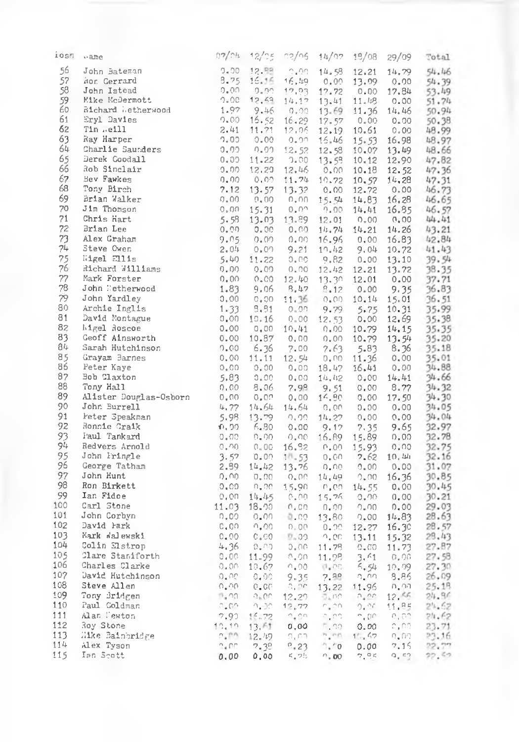| 10SM     | $\sim$ ame                      |                               |                        | $07/2h$ $12/25$ $02/25$ $1h/22$ $15/08$ 29/09 |                           |                    |                                     | Total                                                         |
|----------|---------------------------------|-------------------------------|------------------------|-----------------------------------------------|---------------------------|--------------------|-------------------------------------|---------------------------------------------------------------|
| 56       | John Bateman                    |                               |                        | $9.00 - 12.55 - 0.00 - 14.58$                 |                           | 12.21              | 14.79                               | 54.46                                                         |
| 57       | Nor. Gerrard                    | 8.75                          |                        | 16.16 16.49 0.00                              |                           | 13.09              |                                     | $0.00$ $54.39$                                                |
| 58       | John Istead                     | $0.00 -$                      |                        | $0.00 - 17.03$                                | 17.72                     | 0.00               | 17.84                               | 53.49                                                         |
| 59       | Mike McDermott                  |                               |                        | $2.00$ 12.69 $14.17$ 13.41                    |                           | 11.18              |                                     | $0.00$ $51.74$                                                |
| 60       | Richard Metherwood              |                               |                        | $1.97$ 9.46 0.00                              |                           | 13.69 11.36        |                                     | 14.46 50.94                                                   |
| 61       | <b>Eryl Davies</b>              | 0.00                          |                        | $15.52 \quad 16.29$                           | 17.57                     | 0.00               | 0.00                                | 50.38                                                         |
| 62       | Tim .eill                       | 2.41                          |                        | 11.71 12.06                                   |                           | $12.19$ $10.61$    | 0.00                                | 48.99                                                         |
| 63       | Ray Harper                      | 7,00                          | 0.00                   | 0.00                                          | 15.46                     | 15.53              |                                     | 16.98 48.97                                                   |
| 64       | Charlie Saunders                | 0.00                          |                        | $0.01$ 12.52 12.58                            |                           |                    | $10.07$ 13.49                       | 48.66                                                         |
| 65       | Derek Goodall                   | 0.00                          |                        | $11.22 - 2.00$                                | 13.58                     | 10.12              | 12.90                               | 47.82                                                         |
| 66       | Rob Sinclair                    | 0.00                          |                        | $12.29$ $12.46$                               | 0.00                      | 10.18              |                                     | 12.52 47.36                                                   |
| 67       | Bev Fawkes                      | $0.00 -$                      |                        | $0.09 - 11.74 - 10.72$                        |                           | 10.57              |                                     | 14,28 47.31                                                   |
| 68       | Tony Birch                      |                               |                        | $7.12$ 13.57 13.32                            |                           | $0.00$ 12.72       |                                     | 0.00 46.73                                                    |
| 69       | Brian Walker                    |                               | $0.00 - 0.00$          | 0,00                                          | 15.54                     | 14.83              |                                     | 16.28 46.65                                                   |
| 70       | Jim Thomson                     |                               | $0.00 \quad 15.31$     | 0.00                                          | $0.00 -$                  | 14.41              |                                     | 16.85 46.57                                                   |
| 71       | Chris Hart                      |                               |                        | 5.58 13.03 13.89                              | 12.01                     |                    | $0.00 - 0.00$                       | 44.41                                                         |
| 72       | Brian Lee                       | 0,00                          |                        | $0.00$ $0.00$ $14.74$ $14.21$                 |                           |                    |                                     | 14.26 43.21                                                   |
| 73       | Alex Graham                     | 9.05                          |                        | 0.00 0.00 16.96                               |                           |                    |                                     | $0.00$ 16.83 42.84                                            |
| 74       | Steve Owen                      | 2,04                          |                        | $0.01$ 9.21                                   | 10.42                     |                    |                                     | 9.04 10.72 41.43                                              |
| 75       | Wigel Ellis                     | - 5.40                        |                        | 11.22 0.00                                    | 9.82                      | 0.00               |                                     | 13.10 39.54                                                   |
| 76       | Richard Williams                |                               | 0.00 0.00              | $0.00$ $12.42$ $12.21$                        |                           |                    | 13.72                               | 38.35                                                         |
| 77       | Mark Forster                    |                               |                        | $0.00$ $0.00$ $12.40$ $13.30$ $12.01$         |                           |                    | 0.00                                | 37.71                                                         |
| 78       | John Metherwood                 | 1.83                          |                        | 9.06 8.47                                     |                           | $8.12 \t 0.00$     | 9.35                                | 36.83                                                         |
| 79<br>80 | John Yardley                    | 0.00                          | $0.00$ 11.36           |                                               | $0.00$ 10.14              |                    | 0.00 10.14 15.01<br>9.79 5.75 10.31 | 36.51                                                         |
| 81       | Archie Inglis                   | 1.33                          |                        | $9.91 - 0.00$                                 |                           |                    |                                     | 35.99                                                         |
| 82       | David Montague                  | 0.00                          |                        | $10.16$ $0.00$ $12.53$                        |                           | 0.00               | 12.69                               | 35.38                                                         |
| 83       | higel doscoe<br>Geoff Ainsworth | 0.00                          | 10.87                  | $0.00$ $10.41$ $0.00$ $10.79$                 |                           |                    | 14.15                               | 35.35                                                         |
| $84 -$   | Sarah Hutchinson                |                               | 0.00636                | 0,00                                          | $0.00$ 10.79              |                    | 13.54                               | 35.20                                                         |
| 85       | Grayam Barnes                   |                               |                        | 7.00<br>$0.00$ 11.11 12.54                    | 7.63                      | 5.83               | 0.00                                | 8.36 35.18                                                    |
| 86       | Peter Kaye                      | 0,00                          |                        | $0.00$ $0.00$ $18.47$ $16.41$                 |                           | $0.00 \quad 11.36$ | 0.00                                | 35.01<br>34.88                                                |
| 87       | Bob Claxton                     | 5.83                          |                        | $0.00$ $0.00$ $14.42$                         |                           | 0.00               |                                     |                                                               |
| 88       | Tony Hall                       | 0,00                          |                        |                                               |                           |                    |                                     | $14.41$ $34.66$<br>8.77 $34.32$<br>17.50 $34.30$              |
| 89       | Alister Douglas-Osborn 0.00     |                               |                        | 8.06 7.98 9.51 0.00<br>0.00 0.00 14.80 0.00   |                           |                    | 17.50                               |                                                               |
| 90       | John Burrell                    |                               | $4.77$ $14.64$ $14.64$ |                                               |                           | 0,00 0,00          | 0.00                                | 34.05                                                         |
| 91       | Feter Speakman                  |                               |                        | 5.98 13.79 0.00 14.27 0.00                    |                           |                    | 0.00                                | 34.04                                                         |
| 92       | Ronnie Graik                    | 0.00 6.80 0.00 9.17 7.35 9.65 |                        |                                               |                           |                    |                                     | 32.97                                                         |
| 93       | Paul Tankard                    | $-0.00$                       |                        | $0.00$ $0.00$ $16.89$ $15.89$                 |                           |                    | 0.00                                | 32.78                                                         |
| 94       | Redvers Arnold                  | 0,00                          |                        | $0.00$ 16.92 $0.00$                           |                           | 15.93              | 0.00                                | 32.75                                                         |
| 95       | John Fringle                    | 3.57                          | 0.00111.53             |                                               |                           |                    | $0.00$ $2.62$ $10.44$               | 32.16                                                         |
| 96       | George Tatham                   |                               |                        | $2.59$ $14.42$ $13.76$                        | $0.00 - 0.00$             |                    | 0.00                                | 31.07                                                         |
| 97       | John Hunt                       | . N.N                         |                        | $0.00$ $0.00$ $14.49$ $0.00$ $16.36$          |                           |                    |                                     | 30.85                                                         |
| 98       | Ron Birkett                     | 0.00                          |                        |                                               |                           |                    |                                     | 0.00 15.90 0.00 14.55 0.00 30.45                              |
| 99       | Ian Fidoe                       |                               |                        |                                               |                           |                    |                                     | $0.00$ $14.45$ $0.00$ $15.76$ $0.00$ $0.00$ $30.21$           |
| 100      | Carl Stone                      |                               |                        | $11.03$ $18.00$ $0.00$                        | 0.00                      |                    | $0.00 - 0.00$                       | 29.03                                                         |
| 101      | John Corbyn                     |                               |                        | $0.00$ $0.00$ $0.00$ $13.80$ $0.00$ $14.83$   |                           |                    |                                     | 28.63                                                         |
| 102      | David Fark                      | C.OO                          |                        | 0,0000000                                     |                           |                    | $0.20$ $12.27$ $16.30$              | 28.57                                                         |
| 103      | Nark Walewski                   | 0.00                          | $C_*$ 60 $C_*$ 30      |                                               | 0.00                      | 13.11              |                                     | 15.32 28.43                                                   |
| 104      | Colin Elstrop                   |                               | 4,36 0,00              |                                               | $0.00 - 11.79$            |                    |                                     | $0.00$ 11.73 27.87                                            |
| 105      | Clare Staniforth                | 0.00                          |                        |                                               |                           |                    |                                     | $11.99$ 0.00 11.75 0.00 11.75 27.58                           |
| 106      | Charles Clarke                  | - 0.00                        | $-10.67$               | $-0.00$                                       |                           |                    |                                     | $1.00$ $6.54$ $10.09$ $27.30$<br>$7.88$ $0.00$ $8.85$ $26.09$ |
| 107      | David Hutchinson                | -0.00                         | $-0.00$                | 9.35                                          | 7.99                      |                    |                                     |                                                               |
| 108      | Steve Allen                     | 0.90                          | $C = CC$               | $\mathcal{Q}^1$ at .                          |                           | 13.22 11.96        |                                     | $0.00 - 25.18$                                                |
| 109      | Tony Bridgen                    | $\mathbb{Z}^n$ on             |                        | $-2,00-12,20$                                 |                           |                    | $7.00 - 9.00 - 12.55$               | 24.96                                                         |
| 110      | Paul Goldman                    |                               | $0.09 - 0.00 - 12.77$  |                                               |                           |                    | $0.00 - 0.00 - 11.85$               | 24.62                                                         |
| 111      | Alan Pewton                     | 7.90                          | 16.72                  | $-2+0n$                                       | ning i                    |                    | $-7.00 - 0.00$                      | 24.62                                                         |
| 112      | Roy Stone                       | 10, 10                        | 13.61                  | 0,00                                          | F. 30                     |                    | $0.00 - 0.00$                       | 23.71                                                         |
| 113      | Hike Bainbridge                 | 0.75                          |                        | $12.49 - 0.02$                                |                           | h, mn 15, 47 0.00  |                                     | 23.16                                                         |
| 114      | Alex Tyson                      | $-2+00$                       | $-2.32$                | $P_*23$                                       | $^{\circ}$ . $^{\circ}$ o |                    | 0.007.15                            | 22.77                                                         |
| 115      | Ian Scott                       | 0.00                          | 0,00                   | くっし                                           | 0,00                      | 7,95               | 9,53                                | 22.50                                                         |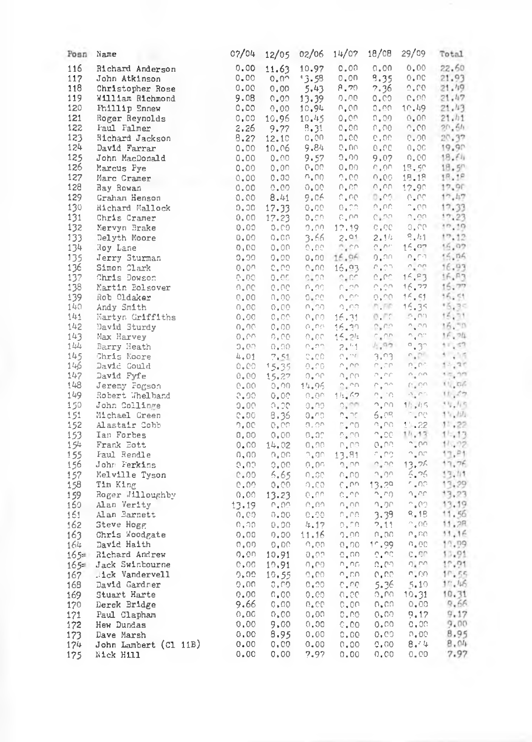| Posn Name  |                                                                                                                                                                                                                                                             |      |                                   |               | 07/04 12/05 02/06 14/07                          | 18/08                                                                     | $29/09$ Total                                   |                       |
|------------|-------------------------------------------------------------------------------------------------------------------------------------------------------------------------------------------------------------------------------------------------------------|------|-----------------------------------|---------------|--------------------------------------------------|---------------------------------------------------------------------------|-------------------------------------------------|-----------------------|
| 116        | Richard Anderson                                                                                                                                                                                                                                            | 0.00 | 11.63                             | 10.97         | 0.00                                             |                                                                           | 0.00 0.00 22.60                                 |                       |
| 117        |                                                                                                                                                                                                                                                             |      |                                   | 13.58         | 0.00                                             | 9.35                                                                      | $-0.00$                                         | 21.93                 |
| 118        |                                                                                                                                                                                                                                                             |      |                                   |               | $5.43$ $8.70$                                    |                                                                           | 2.36 0.00 21.49                                 |                       |
| 119        |                                                                                                                                                                                                                                                             |      |                                   | 13.39         |                                                  |                                                                           | $0.00 - 0.00 - 0.00$                            | 21.47                 |
| 120        | John Atkinson<br>Christopher Rose<br>William Richmond<br>Phillip Ennew<br>Roger Reynolds<br>C.00 0.00<br>Roger Reynolds<br>C.00 10.96<br>Phillip Ennew<br>2.26 9.77                                                                                         |      |                                   | 10.94         |                                                  |                                                                           | $0.00$ $0.00$ $10.49$ $21.43$                   |                       |
| 121        |                                                                                                                                                                                                                                                             |      |                                   |               | 10.45 0.00 0.00                                  |                                                                           | $0.00 -$                                        | 21.11                 |
| 122        |                                                                                                                                                                                                                                                             |      |                                   |               |                                                  |                                                                           | 8.31 0.00 0.00 0.00 20.64                       |                       |
| 123        | Richard Jackson                                                                                                                                                                                                                                             | 8.27 | 12.10                             | 0,00          |                                                  |                                                                           | 0.00 0.00 0.00 20.37                            |                       |
| 124        | David Farrar                                                                                                                                                                                                                                                | 0.00 |                                   |               | 10.06 9.84 0.00 0.00                             |                                                                           | 0,00                                            | 19.90                 |
| 125        | John MacDonald<br>Marcus Pye (0.00)                                                                                                                                                                                                                         |      | 0.00                              | 9.57          | 0.00 -                                           | 9.07                                                                      | 0.00                                            | 18,60                 |
| 126        | Marcus Pye                                                                                                                                                                                                                                                  |      |                                   |               | $0.00 - 0.00 - 0.00 - 0.00$                      |                                                                           | 15.50 18.5"                                     |                       |
| 127        | Marc Cramer                                                                                                                                                                                                                                                 |      |                                   |               |                                                  |                                                                           | 15.18 18.18                                     |                       |
| 128        |                                                                                                                                                                                                                                                             |      |                                   |               |                                                  | $\circ$ vo                                                                | 17.90 17.90                                     |                       |
| 129        |                                                                                                                                                                                                                                                             |      |                                   |               |                                                  |                                                                           | 8.41 9.06 0.00 0.00 0.00 17.47                  |                       |
| 130        |                                                                                                                                                                                                                                                             |      |                                   | $0.00 - 0.00$ |                                                  | o"uu-                                                                     |                                                 | $0.00$ 17.33          |
| 131        |                                                                                                                                                                                                                                                             |      |                                   |               | $\mathbb{C}$ on                                  | C.CO                                                                      | $0.00 - 17.23$                                  |                       |
| 132        |                                                                                                                                                                                                                                                             |      |                                   |               |                                                  |                                                                           | 0.00 17.19 0.00 0.00 17.19                      |                       |
| 133        |                                                                                                                                                                                                                                                             |      |                                   |               | 2.01                                             |                                                                           | $2.1h$ $8.11$ $17.12$<br>$0.01$ $15.02$ $16.09$ |                       |
| 134        |                                                                                                                                                                                                                                                             |      |                                   |               | $C_4$ co                                         |                                                                           |                                                 |                       |
| 135        |                                                                                                                                                                                                                                                             |      |                                   |               | 0.00 0.00 0.00 15.96                             | 0.00                                                                      | $\cap_{\bullet} \in \cap$                       | 15.06                 |
| 136        | Simon Clark                                                                                                                                                                                                                                                 |      | $0.00 - 0.00 - 0.00$              |               | 16.93                                            | $\mathcal{P}_\bullet \mathcal{O} \mathcal{D}_\bullet$                     | $\alpha^*$ ou                                   | 16.93                 |
| 137        | Chris Dowson                                                                                                                                                                                                                                                | 0.00 | 0.00                              |               | $-0^{*}00^{-} - 0^{*}00^{-}$                     | $\mathcal{O}$ , $\mathcal{O}\subseteq$                                    | 16.83                                           | 16.83                 |
| 138        | Martin Polsover                                                                                                                                                                                                                                             | 0.00 | $Q_+QQ_-$                         |               | $0.90 - 0.20$                                    | $\cap$ , $\cap$                                                           |                                                 | 16.77 16.77           |
| 139        | Rob Oldaker                                                                                                                                                                                                                                                 |      |                                   |               |                                                  | $0.00 -$                                                                  | 16.51                                           | 16.51                 |
| 140        | Andy Smith                                                                                                                                                                                                                                                  |      |                                   |               | OLOG INVEST                                      |                                                                           | 16.35                                           | $+5.3<$               |
| 141        | Hartyn Griffiths<br>David Sturdy                                                                                                                                                                                                                            |      |                                   |               | $0.00$ $0.00$ $0.00$ $16.31$ $0.71$              |                                                                           |                                                 | $0.00 - 15.71$        |
| 142        | David Sturdy                                                                                                                                                                                                                                                |      | $0.00 - 0.00 - 0.00$              |               | $16.39 -$                                        | - Du CiO                                                                  | $\cap$ , $\cap$ $\cap$                          | 16.70                 |
| 143        |                                                                                                                                                                                                                                                             |      | $-0.00-0.00$                      |               | 15.2h                                            |                                                                           | $\sim 500$ $\sim 500$                           | 16.24                 |
| 144        |                                                                                                                                                                                                                                                             |      |                                   |               |                                                  | $2.41$ 4.92                                                               | 0.31                                            | 15,57                 |
| 145        |                                                                                                                                                                                                                                                             |      |                                   |               |                                                  |                                                                           | $\sim 10^{-1}$                                  | $+7.15$               |
| 146        |                                                                                                                                                                                                                                                             |      |                                   |               | $\sim$ " $\sim$ $\sim$                           | $\tilde{\mathcal{C}}$ , $\tilde{\mathcal{C}}\tilde{\mathcal{C}}$ , , ,    | $\Omega$ , $\Omega$ $\Omega$ .                  | $1 - 25$              |
| 147        |                                                                                                                                                                                                                                                             |      |                                   |               | 14.95 0.00 0.00                                  |                                                                           | $\alpha_{\rm in}$ con                           | $-1.5 - 0.0$          |
| 148        |                                                                                                                                                                                                                                                             |      |                                   |               |                                                  |                                                                           |                                                 | $0.00 - 11.56$        |
| 149        |                                                                                                                                                                                                                                                             |      |                                   |               | 11.67                                            | $-21.10$                                                                  |                                                 | してつ 10.47<br>$-19.55$ |
| 150<br>151 |                                                                                                                                                                                                                                                             |      |                                   |               | $\sigma$ , $\omega\omega$<br>$\Omega$ , $\Omega$ | $\cup^* \cup \cup$<br>6.09                                                | 18,15                                           | Fine 15, (9)          |
|            |                                                                                                                                                                                                                                                             |      |                                   |               |                                                  |                                                                           |                                                 | $11.22$ $11.22$       |
| 152<br>153 |                                                                                                                                                                                                                                                             |      |                                   |               | $0.00 - 0.00 - 0.00$                             | $\Gamma$ , $\Gamma$ 0 $\Gamma$ $\Gamma$ 0 $\Gamma$<br>$^\smallfrown$ -CC. |                                                 | $14.13 + 15.13$       |
| 154        |                                                                                                                                                                                                                                                             |      |                                   |               |                                                  |                                                                           | $\sim 500$                                      |                       |
| 155        | Bavid Surray<br>Hax Havey<br>Barry Reath<br>David Could<br>David Could<br>Cavid Could<br>Cavid Could<br>Could<br>Could C.00 15,335 0.00<br>David Could<br>Could C.00 15,335 0.00<br>Rebert Helbard<br>John Collinge<br>Alastair Cobb<br>Alastair Cobb<br>Al |      |                                   |               |                                                  | $13.81 - 1.02$                                                            | $\sim$ Unit                                     | $11.72$<br>13. P1     |
| 156        |                                                                                                                                                                                                                                                             |      |                                   |               | 2.22                                             | $\gamma_*\gamma c$                                                        |                                                 | 13.26 17.76           |
| 157        |                                                                                                                                                                                                                                                             |      |                                   |               | $\cap \, \bullet \, \cap \, \circ$               | ್ಕಾ೧೧                                                                     | 5.75                                            | 13.01                 |
| 158        | Tim King                                                                                                                                                                                                                                                    |      |                                   |               | $C$ , nu                                         | 13.29                                                                     | n 00 -                                          | 13.29                 |
| 159        | Roger Jilloughby<br>Alan Verity<br>13.19 0.00<br>Alan Barnett<br>0.00 0.00<br>0.00<br>0.00                                                                                                                                                                  |      | 0.09 0.00 0.00<br>0.00 13.23 0.00 |               | - CLOC                                           | $\cap_\alpha \cap \ominus_\alpha$ .                                       | n, ee                                           | 13.23                 |
| 160        |                                                                                                                                                                                                                                                             |      |                                   |               | $0.00 - 0.00$                                    | 0.00                                                                      | 0.00113.19                                      |                       |
| 161        |                                                                                                                                                                                                                                                             |      |                                   |               | $0.20 - 0.00$                                    |                                                                           | $3.39 - 9.18$                                   | 11.56                 |
| 162        | Steve Hogg                                                                                                                                                                                                                                                  |      | 0,00 0,00                         |               | $4.17 - 0.00$                                    | 2,11                                                                      |                                                 | 0.00 11.28            |
| 163        | Chris Woodgate                                                                                                                                                                                                                                              |      | $0.00 - 0.00$                     | 11.16         | $-2*00$                                          |                                                                           | 0.00 0.00 11.16                                 |                       |
| 164        | David Haith                                                                                                                                                                                                                                                 |      | 0.00                              | $O^+O O$      | 0.00                                             | $10.99 -$                                                                 |                                                 | $0.00 - 19.09$        |
|            | 165= Richard Andrew                                                                                                                                                                                                                                         |      | 10.91                             | 0.07          | $0.00$ .                                         |                                                                           | o ud i di du                                    | 13.91                 |
| $165 =$    | Jack Swinbourne                                                                                                                                                                                                                                             |      | 10.91                             | 0,00          | $\cap_\pi\cap\cap$ .                             | ಿ. ೧೯                                                                     | $n^*$ uu                                        | 17.91                 |
| 167        | $1c$ k Vandervell                                                                                                                                                                                                                                           |      |                                   |               | 10.55 0.00 0.00 0.00                             |                                                                           | n, on                                           | 10.55                 |
| 168        | David Gardner                                                                                                                                                                                                                                               |      |                                   | $0.00 - 0.00$ |                                                  | $0.00 - 5.36$                                                             | 5.10                                            | 17.46                 |
| 169        | Stuart Harte                                                                                                                                                                                                                                                |      | 0.00                              | 0.00          | $0.00$ .                                         | o, no                                                                     | 10.31                                           | 10.31                 |
| 170        | Derek Bridge                                                                                                                                                                                                                                                |      | $0.00 - 0.00$                     |               | 0.00                                             | 0.00                                                                      | 0.00                                            | 9,66                  |
| 171        | Paul Clapham                                                                                                                                                                                                                                                |      | 0,00 0,00 0,00                    |               | 0.00                                             | 0.00                                                                      | 9.17                                            | 9.17                  |
| 172        | Hew Dundas                                                                                                                                                                                                                                                  | 0.00 |                                   | 9,00 0.00     | C, CO                                            |                                                                           | $0,00 - 0,00$                                   | 9.00                  |
| 173        | Dave Marsh                                                                                                                                                                                                                                                  |      |                                   |               | 0.00 8.95 0.00 0.00                              |                                                                           | $0.00 - 0.00$                                   | 8.95                  |
| 174        | John Lambert (Cl 11B)                                                                                                                                                                                                                                       | 0.00 |                                   |               | $0.00 \t 0.00 \t 0.00$                           | 0.00                                                                      | 8.44                                            | 8.04                  |
| 175        | Nick Hill                                                                                                                                                                                                                                                   | 0.00 | 0.00                              | 7.97          | $0 - 00$                                         | 0.00                                                                      | 0.00                                            | 7.97                  |
|            |                                                                                                                                                                                                                                                             |      |                                   |               |                                                  |                                                                           |                                                 |                       |
|            |                                                                                                                                                                                                                                                             |      |                                   |               |                                                  |                                                                           |                                                 |                       |
|            |                                                                                                                                                                                                                                                             |      |                                   |               |                                                  |                                                                           |                                                 |                       |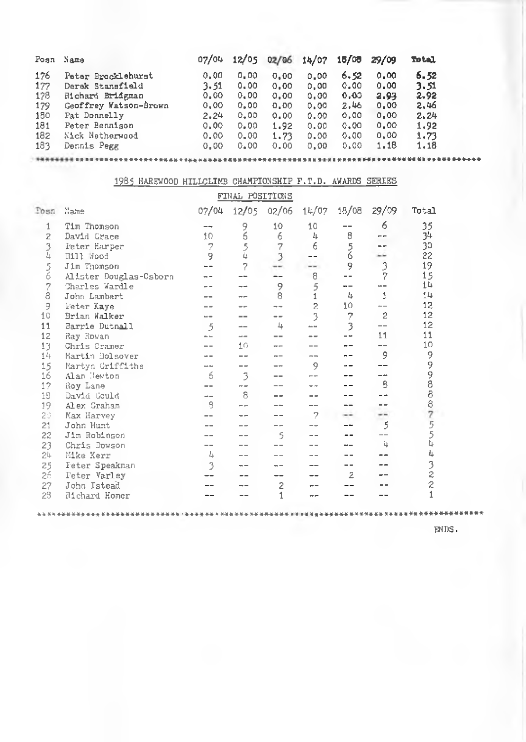| Posn | Name                  | 07/04 | 12/05 | 02/06 | 14/07 | 15/00 | 29/09 | Total |
|------|-----------------------|-------|-------|-------|-------|-------|-------|-------|
| 176  | Peter Brocklehurst    | 0.00  | 0.00  | 0.00  | 0.00  | 6.52  | 0.00  | 6.52  |
| 177  | Derek Stansfield      | 3.51  | 0,00  | 0.00  | 0.00  | 0.00  | 0.00  | 3.51  |
| 178  | Richard Bridgman      | 0.00  | 0.00  | 0.00  | 0.00  | 0,00  | 2.93  | 2.92  |
| 179  | Geoffrey Watson-Brown | 0.00  | 0.00  | 0.00  | 0.00  | 2.46  | 0.00  | 2.46  |
| 150  | Pat Donnelly          | 2.24  | 0.00  | 0.00  | 0.00  | 0.00  | 0.00  | 2.24  |
| 181  | Peter Bennison        | 0.00  | 0.00  | 1.92  | 0.00  | 0.00  | 0.00  | 1.92  |
| 182  | Nick Netherwood       | 0.00  | 0.00  | 1,73  | 0.00  | 0.00  | 0.00  | 1.73  |
| 183  | Dennis Pegg           | 0.00  | 0.00  | 0.00  | 0.00  | 0.00  | 1,18  | 1.18  |

# *<sup>K</sup>* H K M f M »«»»»«\*\*»♦ » » \*» \* »♦»« iHHUl-\* »♦\*» mnHHHHHHHHHH> ■ M ■ M H1 »» ♦ » » O i I\* \* tt \* » \* «\* « H\* ■ *\* \* \** »»»\*♦» 1985 HAREWOOD HILLCLIMB CHAMPIONSHIP F.T.D. AWARDS SERIES

| FINAL POSITIONS |                        |       |      |                |                |        |                |                |
|-----------------|------------------------|-------|------|----------------|----------------|--------|----------------|----------------|
| Posn            | Name                   | 07/04 |      | 12/05 02/06    | 14/07          | 18/08  | 29/09          | Total          |
| 1               | Tim Thomson            | --    | 9    | 10             | 10             | --     | 6              | 35             |
| $\overline{z}$  | David Grace            | 10    | 6    | 6              | 4              | 8      |                | 34             |
| $\frac{3}{4}$   | Peter Harper           | 7     | 5    | 7              | 6              |        |                | 30             |
|                 | Bill Wood              | 9     | ù    | 3              |                | 5<br>6 |                | 22             |
| 56              | Jim Thomson            |       | 7    |                | --             | 9      | 3              | 19             |
|                 | Alister Douglas-Osborn |       |      |                | 8              |        | 7              | 15             |
|                 | Charles Wardle         |       |      | 9              | 5              |        |                | 14             |
| $\frac{7}{8}$   | John Lambert           |       |      | 8              | $\mathbf{1}$   | 五      | 1              | 14             |
| 9               | Feter Kaye             |       |      |                | $\overline{c}$ | 10     |                | 12             |
| 10              | Brian Walker           |       |      |                | 3              | 7      | $\overline{c}$ | 12             |
| 11              | Barrie Dutnall         | 5     |      | 4              | an an          | 3      |                | 12             |
| 12              | Ray Rowan              |       | --   |                |                |        | 11             | 11             |
| 13              | Chris Cramer           |       | 10   | --             |                |        |                | 10             |
| 14              | Martin Bolsover        |       |      |                | $m =$          |        | 9              | 9              |
| 15              | Martyn Griffiths       |       |      |                | 9              |        |                | 9              |
| 16              | Alan Tewton            | 6     | 3    |                |                |        |                | 988            |
| 17              | Roy Lane               |       | $-1$ |                |                |        | 8              |                |
| 18              | David Could            | --    | 8    |                |                |        |                |                |
| 19              | Alex Graham            | ۹     |      |                |                |        |                |                |
| 20              | Max Harvey             |       |      |                | 7              |        |                |                |
| 21              | John Hunt              |       |      |                |                |        | 5              | 87554          |
| 22              | Jim Robinson           |       |      | 5              |                |        |                |                |
| 23              | Chris Dowson           | --    |      |                |                |        | 4              |                |
| $24 -$          | Mike Kerr              | 4     |      |                |                |        |                | 4              |
| 25              | Feter Speakman         | 3     |      |                |                |        |                | $\frac{3}{2}$  |
| 26              | Peter Varley           |       |      |                |                | 2      |                |                |
| 27              | John Istead            |       |      | $\overline{c}$ |                |        |                | $\overline{c}$ |
| 23              | Richard Homer          |       |      |                |                |        |                | $\mathbf{1}$   |
|                 |                        |       |      |                |                |        |                |                |

\* \* \* \* \* \* \* \* \* \* \* \* \* \* \* \* \* \* \* \* \* \* \* \* \* \* \* \* \* \* \* - \* \* \* \* \* \* \* \* \* \* \* \* \* \* \* \* \* \* \* \* tttt \* » \* \*\*\*-\*\*\*\*» \*\*■ \*\*\*♦ \*» ■ \* » \* ■\*\*\*»•\*•»»-»»\* » » \*♦ ♦

ENDS.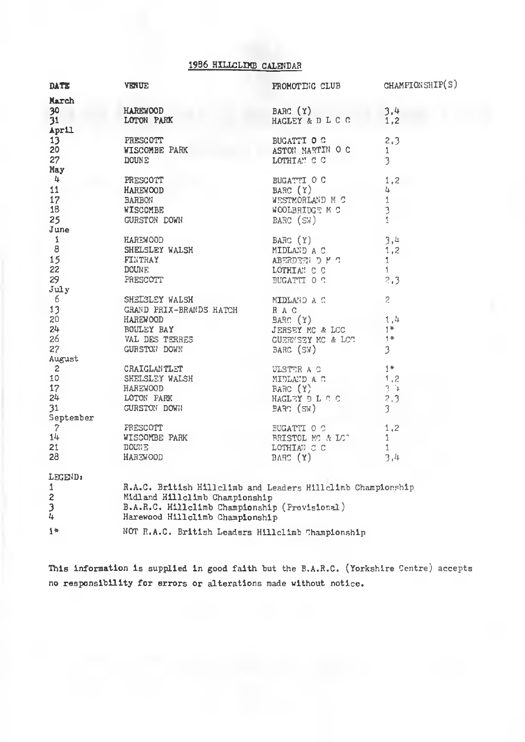#### 1986 HILLCLINE CALENDAR

| DATE           | <b>VENUE</b>                                                                                                                                 | PROMOTING CLUB                                                            | CHAMPIONSHIP(S)     |
|----------------|----------------------------------------------------------------------------------------------------------------------------------------------|---------------------------------------------------------------------------|---------------------|
| March          |                                                                                                                                              |                                                                           |                     |
| 30             | <b>HAREWOOD</b>                                                                                                                              | BARC (Y)                                                                  | 3.4                 |
| 31             | LOTON PARK                                                                                                                                   | HAGLEY & D L C C                                                          | 1,2                 |
| April          |                                                                                                                                              |                                                                           |                     |
| 13             | PRESCOTT                                                                                                                                     | BUGATTI O C                                                               | 2.3                 |
| 20             | <b>WISCOMBE PARK</b>                                                                                                                         | ASTON MARTIN O C                                                          | $\mathbf{1}$        |
| 27             | <b>DOUNE</b>                                                                                                                                 | LOTHIAN C C                                                               | 3                   |
| May            |                                                                                                                                              |                                                                           |                     |
| $\frac{1}{2}$  | PRESCOTT                                                                                                                                     | BUGATTI O C<br>BARC (Y)<br>WESTMORLAND M C<br>WOOLBRIDGE M C<br>BARC (SW) | 1.2                 |
| 11             | <b>HAREWOOD</b>                                                                                                                              |                                                                           | 4                   |
| 17             | <b>BARBON</b>                                                                                                                                |                                                                           | $\mathbf{1}$        |
| 18             | WISCOMBE                                                                                                                                     |                                                                           | 3                   |
| 25             | GURSTON DOWN                                                                                                                                 |                                                                           | $\Delta$            |
| June           |                                                                                                                                              |                                                                           |                     |
| $\mathbf 1$    |                                                                                                                                              |                                                                           | -3,4                |
| 8              | Example of the Handbury Barc (Y)<br>SHELSLEY WALSH MIDLAND A C                                                                               |                                                                           |                     |
|                |                                                                                                                                              |                                                                           | 1,2                 |
| 15             | FINTRAY                                                                                                                                      | ABERDEEN D M C                                                            | 1.                  |
| 22             | DOUNE                                                                                                                                        | LOTHIAN C C<br>BUGATTI O C                                                | $\overline{1}$      |
| 29             | PRESCOTT                                                                                                                                     |                                                                           | 2,3                 |
| July           |                                                                                                                                              |                                                                           |                     |
| - 6            | SHELSLEY WALSH MIDLAY NIDLAY<br>GRAND PRIX-BRANDS KATCH RAC                                                                                  | MIDLAND A C                                                               | $\mathfrak{p}$      |
| 13             |                                                                                                                                              |                                                                           |                     |
| 20             |                                                                                                                                              |                                                                           | $-\frac{1}{1*}^{4}$ |
| 24             |                                                                                                                                              |                                                                           |                     |
| 26             |                                                                                                                                              |                                                                           | $-1$                |
| 27             | BOULEY BAY (Y)<br>VAL DES TERRES (JERSEY MC & LCC)<br>CURSTON DOWN (BARC (SW)<br>CORSTON DOWN BARC (SW)                                      |                                                                           | $\mathfrak{Z}$      |
| August         |                                                                                                                                              |                                                                           |                     |
| $\overline{2}$ |                                                                                                                                              |                                                                           | $-1*$               |
| 10             |                                                                                                                                              |                                                                           | 1,2                 |
| 17             |                                                                                                                                              |                                                                           | $-3.3$              |
| $24 -$         |                                                                                                                                              | HAGLEY DL C C                                                             | 2,3                 |
| 31             | CRAIGLANTLET ULSTER A C<br>SHELSLEY WALSH MIDLAND A C<br>HAREWOOD BARK HAGLEY D L C C<br>LOTON PARK HAGLEY D L C C<br>GURSTON DOWN BARC (SW) |                                                                           | 3                   |
| September      |                                                                                                                                              |                                                                           |                     |
| $\overline{7}$ | PRESCOTT                                                                                                                                     | <b>BUGATTI O C</b>                                                        | 1,2                 |
| 14             | WISCOMBE PARK                                                                                                                                | BRISTOL MC & LC"                                                          | $\mathbf{1}$        |
| 21.            | DOUNE                                                                                                                                        | LOTHIAN C C                                                               | $\mathbf{1}$        |
| 28             | HAREWOOD                                                                                                                                     | BARC (Y)                                                                  | 3.4                 |
| LEGEND:        |                                                                                                                                              |                                                                           |                     |
| $\mathbf{1}$   | R.A.C. British Hillelimb and Leaders Hillelimb Championship                                                                                  |                                                                           |                     |
| $\mathbf{2}$   | Midland Hillclimb Championship                                                                                                               |                                                                           |                     |
| $\frac{3}{4}$  | B.A.R.C. Hillclimb Championship (Provisional)                                                                                                |                                                                           |                     |
|                | Harewood Hillclimb Championship                                                                                                              |                                                                           |                     |
| $1 +$          | NOT R.A.C. British Leaders Hillclimb Championship                                                                                            |                                                                           |                     |

This information is supplied in good faith but the B.A.R.C. (Yorkshire Centre) accepts no responsibility for errors or alterations made without notice.